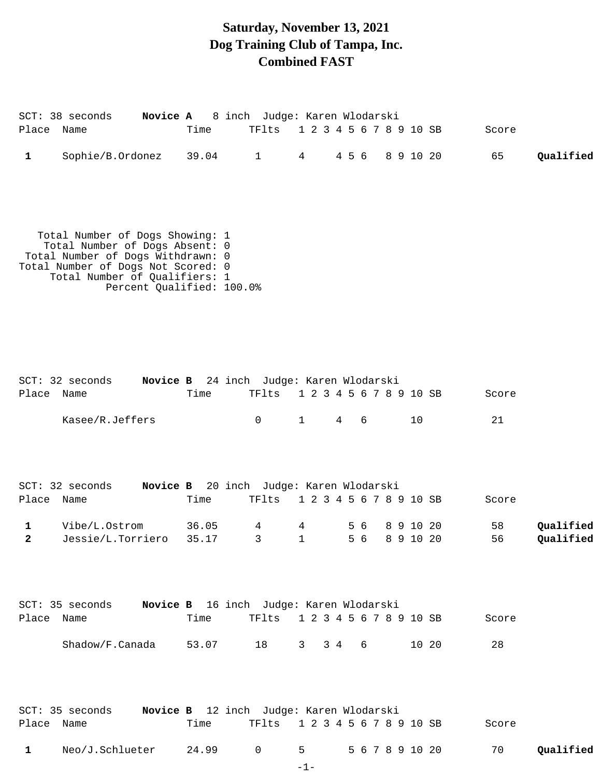### **Saturday, November 13, 2021 Dog Training Club of Tampa, Inc. Combined FAST**

| Place Name        | Novice A<br>SCT: 38 seconds                                                                                                                                                                                | Time           | 8 inch Judge: Karen Wlodarski<br>TFlts                          | 1 2 3 4 5 6 7 8 9 10 SB                               |           |                        | Score       |                        |
|-------------------|------------------------------------------------------------------------------------------------------------------------------------------------------------------------------------------------------------|----------------|-----------------------------------------------------------------|-------------------------------------------------------|-----------|------------------------|-------------|------------------------|
| $\mathbf 1$       | Sophie/B.Ordonez                                                                                                                                                                                           | 39.04          | $1 \quad \blacksquare$                                          | $4\overline{ }$                                       | 4 5 6     | 8 9 10 20              | 65          | Qualified              |
|                   | Total Number of Dogs Showing: 1<br>Total Number of Dogs Absent: 0<br>Total Number of Dogs Withdrawn: 0<br>Total Number of Dogs Not Scored: 0<br>Total Number of Qualifiers: 1<br>Percent Qualified: 100.0% |                |                                                                 |                                                       |           |                        |             |                        |
| Place Name        | SCT: 32 seconds<br>Kasee/R.Jeffers                                                                                                                                                                         | Time           | Novice B 24 inch Judge: Karen Wlodarski<br>TFlts<br>$\mathbf 0$ | 1 2 3 4 5 6 7 8 9 10 SB<br>$\mathbf{1}$<br>$4\degree$ | 6         | 10                     | Score<br>21 |                        |
| Place Name        | $SCT: 32$ seconds                                                                                                                                                                                          | Time           | Novice B 20 inch Judge: Karen Wlodarski<br>TFlts                | 1 2 3 4 5 6 7 8 9 10 SB                               |           |                        | Score       |                        |
| 1<br>$\mathbf{2}$ | Vibe/L.Ostrom<br>Jessie/L.Torriero                                                                                                                                                                         | 36.05<br>35.17 | 4<br>3                                                          | 4<br>$\mathbf{1}$                                     | 56<br>5 6 | 8 9 10 20<br>8 9 10 20 | 58<br>56    | Qualified<br>Qualified |
| Place             | SCT: 35 seconds<br>Name                                                                                                                                                                                    | Time           | Novice B 16 inch Judge: Karen Wlodarski<br>TFlts                | 1 2 3 4 5 6 7 8 9 10 SB                               |           |                        | Score       |                        |
|                   | Shadow/F.Canada                                                                                                                                                                                            | 53.07          | 18                                                              | $3\quad 4$<br>$3^{\circ}$                             | 6         | 10 20                  | 28          |                        |
| Place             | SCT: 35 seconds<br>Name                                                                                                                                                                                    | Time           | Novice B 12 inch Judge: Karen Wlodarski<br>TFlts                | 1 2 3 4 5 6 7 8 9 10 SB                               |           |                        | Score       |                        |

-1-

1 Neo/J.Schlueter 24.99 0 5 567891020 70 Qualified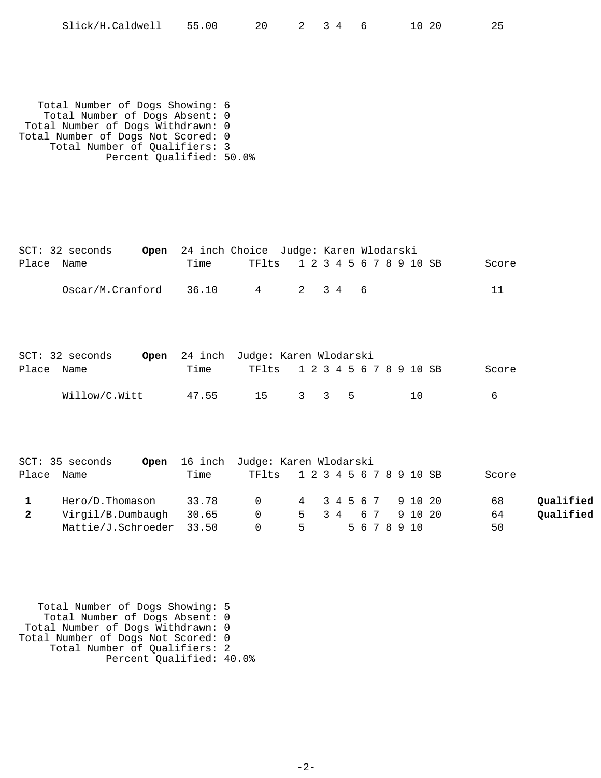| Slick/H.Caldwell | 55.00 |  |  |  |  | -20 | 25 |
|------------------|-------|--|--|--|--|-----|----|
|------------------|-------|--|--|--|--|-----|----|

 Total Number of Dogs Showing: 6 Total Number of Dogs Absent: 0 Total Number of Dogs Withdrawn: 0 Total Number of Dogs Not Scored: 0 Total Number of Qualifiers: 3 Percent Qualified: 50.0%

| Open<br>$SCT: 32$ seconds             |       | 24 inch Choice Judge: Karen Wlodarski   |                         |              |           |   |  |          |                 |  |
|---------------------------------------|-------|-----------------------------------------|-------------------------|--------------|-----------|---|--|----------|-----------------|--|
| Place Name                            | Time  | TFlts                                   | 1 2 3 4 5               |              |           |   |  | 678910SB | Score           |  |
| Oscar/M.Cranford                      | 36.10 | $4\overline{ }$                         | $\overline{2}$          | 3 4          |           | 6 |  |          | 11              |  |
| $SCT: 32$ seconds<br>Open             |       | 24 inch Judge: Karen Wlodarski          |                         |              |           |   |  |          |                 |  |
| Place<br>Name                         | Time  | TFlts                                   | 1 2 3 4 5 6 7 8 9 10 SB |              |           |   |  |          | Score           |  |
| Willow/C.Witt                         | 47.55 | 15                                      | $3^{\circ}$             | $\mathbf{3}$ | 5         |   |  | 10       | 6               |  |
| SCT: 35 seconds<br>Open<br>Place Name | Time  | 16 inch Judge: Karen Wlodarski<br>TFlts | 1 2 3 4 5 6 7 8 9 10 SB |              |           |   |  |          | Score           |  |
| Hero/D.Thomason<br>$\mathbf{1}$       | 33.78 | $\mathsf{O}$                            | $4\overline{ }$         |              | 3 4 5 6 7 |   |  | 9 10 20  | 68<br>Qualified |  |

 Virgil/B.Dumbaugh 30.65 0 5 3 4 6 7 9 10 20 64 **2 Qualified** Mattie/J.Schroeder 33.50 0 5 5 6 7 8 9 10 50

 Total Number of Dogs Showing: 5 Total Number of Dogs Absent: 0 Total Number of Dogs Withdrawn: 0 Total Number of Dogs Not Scored: 0 Total Number of Qualifiers: 2 Percent Qualified: 40.0%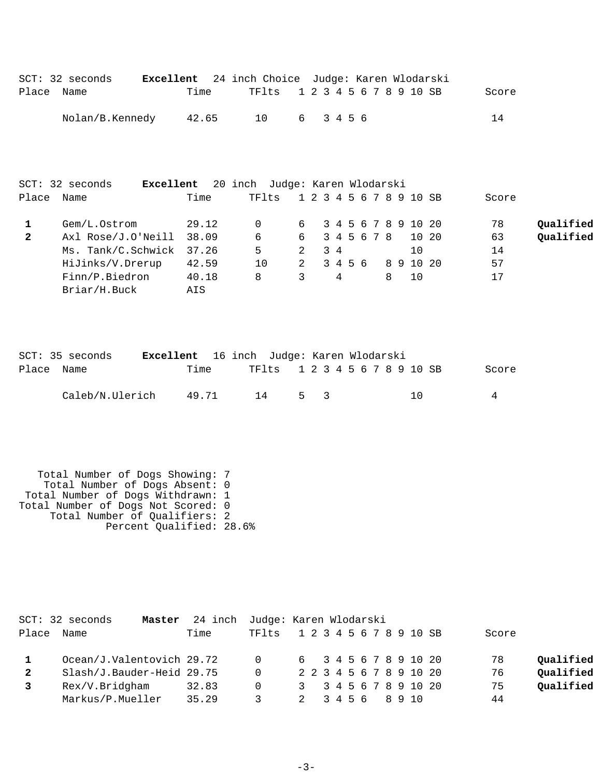|            | SCT: 32 seconds |       | <b>Excellent</b> 24 inch Choice Judge: Karen Wlodarski |        |  |  |  |  |       |
|------------|-----------------|-------|--------------------------------------------------------|--------|--|--|--|--|-------|
| Place Name |                 | Time  | TF1ts 1 2 3 4 5 6 7 8 9 10 SB                          |        |  |  |  |  | Score |
|            | Nolan/B.Kennedy | 42.65 | 10                                                     | 6 3456 |  |  |  |  | 14    |

|              | $SCT: 32$ seconds<br>Excellent |       | 20 inch Judge: Karen Wlodarski |   |                         |             |           |                |       |           |
|--------------|--------------------------------|-------|--------------------------------|---|-------------------------|-------------|-----------|----------------|-------|-----------|
| Place        | Name                           | Time  | TFlts                          |   | 1 2 3 4 5 6 7 8 9 10 SB |             |           |                | Score |           |
|              | Gem/L.Ostrom                   | 29.12 |                                |   | 6 3 4 5 6 7 8 9 10 20   |             |           |                | 78    | Qualified |
| $\mathbf{2}$ | Axl Rose/J.O'Neill             | 38.09 | 6                              | 6 |                         | 3 4 5 6 7 8 |           | 10 20          | 63    | Oualified |
|              | Ms. Tank/C.Schwick             | 37.26 | 5                              | 2 | 34                      |             |           | 1 <sub>0</sub> | 14    |           |
|              | HiJinks/V.Drerup               | 42.59 | 10                             | 2 | 3456                    |             | 8 9 10 20 |                | 57    |           |
|              | Finn/P.Biedron                 | 40.18 | 8                              | 3 | 4                       |             | 8         | 1 O            | 17    |           |
|              | Briar/H.Buck                   | AIS   |                                |   |                         |             |           |                |       |           |

|            | SCT: 35 seconds | <b>Excellent</b> 16 inch Judge: Karen Wlodarski |       |    |                               |     |  |  |  |  |     |  |       |
|------------|-----------------|-------------------------------------------------|-------|----|-------------------------------|-----|--|--|--|--|-----|--|-------|
| Place Name |                 | Time                                            |       |    | TF1ts 1 2 3 4 5 6 7 8 9 10 SB |     |  |  |  |  |     |  | Score |
|            | Caleb/N.Ulerich |                                                 | 49.71 | 14 |                               | 5 3 |  |  |  |  | 1 N |  |       |

 Total Number of Dogs Showing: 7 Total Number of Dogs Absent: 0 Total Number of Dogs Withdrawn: 1 Total Number of Dogs Not Scored: 0 Total Number of Qualifiers: 2 Percent Qualified: 28.6%

|              | SCT: 32 seconds<br>Master | 24 inch Judge: Karen Wlodarski |          |  |  |  |  |                         |       |           |
|--------------|---------------------------|--------------------------------|----------|--|--|--|--|-------------------------|-------|-----------|
| Place        | Name                      | Time                           | TFlts    |  |  |  |  | 1 2 3 4 5 6 7 8 9 10 SB | Score |           |
|              | Ocean/J.Valentovich 29.72 |                                | $\Omega$ |  |  |  |  | 6 3 4 5 6 7 8 9 10 20   | 78    | Qualified |
| $\mathbf{2}$ | Slash/J.Bauder-Heid 29.75 |                                | $\Omega$ |  |  |  |  | 2 2 3 4 5 6 7 8 9 10 20 | 76    | Qualified |
|              | Rex/V.Bridgham            | 32.83                          | 0        |  |  |  |  | 3 3 4 5 6 7 8 9 10 20   | 75    | Qualified |
|              | Markus/P.Mueller          | 35.29                          |          |  |  |  |  | 2 3 4 5 6 8 9 10        | 44    |           |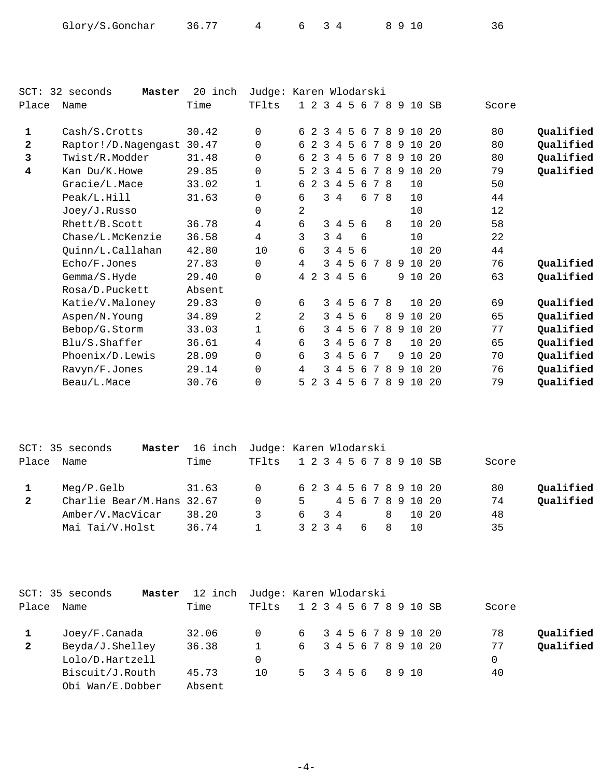| Glory/S.Gonchar | 36.77 |  |  | 8910 | 36 |
|-----------------|-------|--|--|------|----|
|-----------------|-------|--|--|------|----|

| $SCT$ :      | 32 seconds<br>Master | 20 inch | Judge: Karen Wlodarski |    |         |                |                |   |     |    |    |   |                         |     |       |           |
|--------------|----------------------|---------|------------------------|----|---------|----------------|----------------|---|-----|----|----|---|-------------------------|-----|-------|-----------|
| Place        | Name                 | Time    | TFlts                  |    |         |                |                |   |     |    |    |   | 1 2 3 4 5 6 7 8 9 10 SB |     | Score |           |
| 1            | Cash/S.Crotts        | 30.42   | $\Omega$               |    | 6 2     | 3              | 4              |   | 5 6 | 7  | 8  | 9 | 10                      | 20  | 80    | Qualified |
| $\mathbf{2}$ | Raptor!/D.Nagengast  | 30.47   | 0                      |    | 6 2 3   |                | 4              | 5 | -6  | 7  | 8  | 9 | 10                      | 20  | 80    | Qualified |
| 3            | Twist/R.Modder       | 31.48   | 0                      | 6  | 2       | -3             | 4              | 5 | 6   | 7  | -8 | 9 | 10                      | 20  | 80    | Qualified |
| 4            | Kan Du/K.Howe        | 29.85   | 0                      |    | $5 \t2$ | $\overline{3}$ | $\overline{4}$ | 5 | 6   | 7  | 8  | 9 | 10 20                   |     | 79    | Qualified |
|              | Gracie/L.Mace        | 33.02   | 1                      | 6  | -2      | 3              | $\overline{4}$ | 5 | 6   | 78 |    |   | 10                      |     | 50    |           |
|              | Peak/L.Hill          | 31.63   | 0                      | 6  |         |                | $3\quad 4$     |   | 6   | 78 |    |   | 10                      |     | 44    |           |
|              | Joey/J.Russo         |         | $\Omega$               | 2  |         |                |                |   |     |    |    |   | 10                      |     | 12    |           |
|              | Rhett/B.Scott        | 36.78   | 4                      | 6  |         |                | $3\quad 4$     |   | 5 6 |    | 8  |   | 10                      | 20  | 58    |           |
|              | Chase/L.McKenzie     | 36.58   | 4                      | 3  |         |                | $3\quad 4$     |   | 6   |    |    |   | 10                      |     | 22    |           |
|              | Quinn/L.Callahan     | 42.80   | 10                     | 6  |         |                | $3\quad 4$     |   | 5 6 |    |    |   | 10 20                   |     | 44    |           |
|              | Echo/F.Jones         | 27.83   | 0                      | 4  |         |                | 3 4            |   | 56  |    | 78 |   | 9 10                    | 20  | 76    | Qualified |
|              | Gemma/S.Hyde         | 29.40   | 0                      |    | 4 2     | $\overline{3}$ | $\overline{4}$ |   | 5 6 |    |    |   | 9 10                    | 20  | 63    | Qualified |
|              | Rosa/D.Puckett       | Absent  |                        |    |         |                |                |   |     |    |    |   |                         |     |       |           |
|              | Katie/V.Maloney      | 29.83   | $\mathbf 0$            | 6  |         |                | 34             |   | 5 6 | 7  | -8 |   | 10 20                   |     | 69    | Qualified |
|              | Aspen/N.Young        | 34.89   | 2                      | 2  |         |                | $3\quad 4$     |   | 5 6 |    | 8  | 9 | 10                      | 20  | 65    | Qualified |
|              | Bebop/G.Storm        | 33.03   | $\mathbf{1}$           | 6  |         |                | $3 \quad 4$    | 5 | - 6 | 7  | 8  | 9 | 10                      | 20  | 77    | Qualified |
|              | Blu/S. Shafter       | 36.61   | 4                      | 6  |         |                | $3 \quad 4$    | 5 | 6   | 78 |    |   | 10                      | 20  | 65    | Qualified |
|              | Phoenix/D. Lewis     | 28.09   | $\Omega$               | 6  |         |                | $3 \quad 4$    | 5 | 6   | 7  |    | 9 | 10                      | 20  | 70    | Qualified |
|              | Ravyn/F.Jones        | 29.14   | 0                      | 4  |         | 3              | 4              | 5 | 6   | 7  | 8  | 9 | 10                      | 20  | 76    | Qualified |
|              | Beau/L.Mace          | 30.76   | 0                      | 5. | 2       | 3              | 4              | 5 | -6  | 7  | 8  | 9 | 10                      | -20 | 79    | Qualified |

|              | SCT: 35 seconds<br>Master | 16 inch | Judge: Karen Wlodarski |   |      |  |  |  |                         |       |           |
|--------------|---------------------------|---------|------------------------|---|------|--|--|--|-------------------------|-------|-----------|
| Place        | Name                      | Time    | TFlts                  |   |      |  |  |  | 1 2 3 4 5 6 7 8 9 10 SB | Score |           |
|              | Meq/P.Gelb                | 31.63   | $\Omega$               |   |      |  |  |  | 6 2 3 4 5 6 7 8 9 10 20 | 80    | Qualified |
| $\mathbf{2}$ | Charlie Bear/M.Hans 32.67 |         | $\Omega$               | 5 |      |  |  |  | 4 5 6 7 8 9 10 20       | 74    | Qualified |
|              | Amber/V.MacVicar          | 38.20   | 3                      |   | 6 34 |  |  |  | 10 20                   | 48    |           |
|              | Mai Tai/V.Holst           | 36.74   |                        |   |      |  |  |  | 3 2 3 4 6 8 10          | 35    |           |

|              | SCT: 35 seconds<br>Master | 12 inch | Judge: Karen Wlodarski |                         |  |  |  |  |       |           |
|--------------|---------------------------|---------|------------------------|-------------------------|--|--|--|--|-------|-----------|
| Place        | Name                      | Time    | TF1ts                  | 1 2 3 4 5 6 7 8 9 10 SB |  |  |  |  | Score |           |
|              | Joey/F.Canada             | 32.06   | $\overline{0}$         | 6 3 4 5 6 7 8 9 10 20   |  |  |  |  | 78    | Qualified |
| $\mathbf{2}$ | Beyda/J.Shelley           | 36.38   |                        | 6 3 4 5 6 7 8 9 10 20   |  |  |  |  | 77    | Qualified |
|              | Lolo/D.Hartzell           |         | $\Omega$               |                         |  |  |  |  |       |           |
|              | Biscuit/J.Routh           | 45.73   | 10                     | 5 3 4 5 6 8 9 10        |  |  |  |  | 40    |           |
|              | Obi Wan/E.Dobber          | Absent  |                        |                         |  |  |  |  |       |           |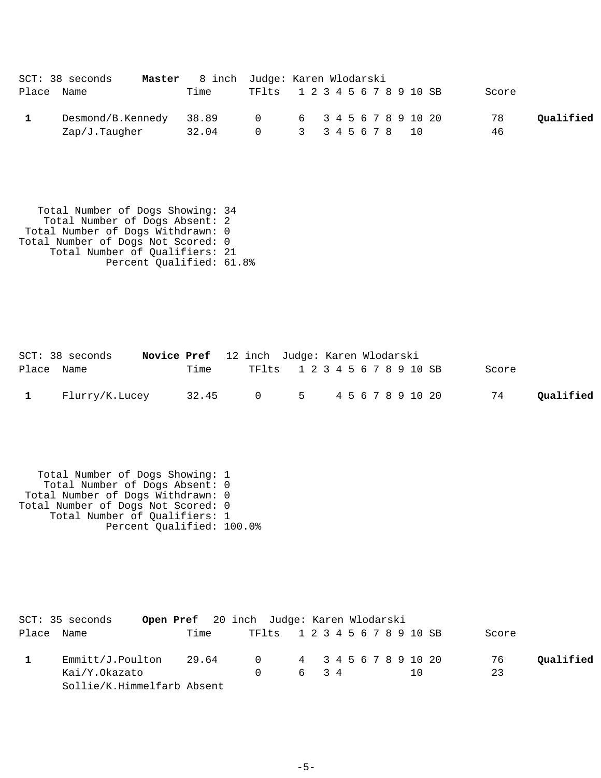| SCT: 38 seconds   | Master 8 inch Judge: Karen Wlodarski |           |                               |       |           |
|-------------------|--------------------------------------|-----------|-------------------------------|-------|-----------|
| Place Name        | Time                                 |           | TF1ts 1 2 3 4 5 6 7 8 9 10 SB | Score |           |
| Desmond/B.Kennedy | 38.89                                | $\bigcap$ | 6 34567891020                 | 78    | Qualified |
| Zap/J.Taugher     | 32.04                                | $\cap$    | 3 3 4 5 6 7 8 10              | 46    |           |

 Total Number of Dogs Showing: 34 Total Number of Dogs Absent: 2 Total Number of Dogs Withdrawn: 0 Total Number of Dogs Not Scored: 0 Total Number of Qualifiers: 21 Percent Qualified: 61.8%

|            | $SCT: 38$ seconds | Novice Pref 12 inch Judge: Karen Wlodarski |                               |  |  |       |           |
|------------|-------------------|--------------------------------------------|-------------------------------|--|--|-------|-----------|
| Place Name |                   | Time                                       | TF1ts 1 2 3 4 5 6 7 8 9 10 SB |  |  | Score |           |
|            | 1 Flurry/K.Lucey  | 32.45                                      | 0 5 4 5 6 7 8 9 10 20         |  |  | 74    | Oualified |

 Total Number of Dogs Showing: 1 Total Number of Dogs Absent: 0 Total Number of Dogs Withdrawn: 0 Total Number of Dogs Not Scored: 0 Total Number of Qualifiers: 1 Percent Qualified: 100.0%

| SCT: 35 seconds            |       | <b>Open Pref</b> 20 inch Judge: Karen Wlodarski |      |  |     |       |           |
|----------------------------|-------|-------------------------------------------------|------|--|-----|-------|-----------|
| Place Name                 | Time  | TF1ts 1 2 3 4 5 6 7 8 9 10 SB                   |      |  |     | Score |           |
| Emmitt/J.Poulton           | 29.64 | 0 4 3 4 5 6 7 8 9 10 20                         |      |  |     | 76    | Qualified |
| Kai/Y.Okazato              |       | $\Omega$                                        | 6 34 |  | 1 O | 23    |           |
| Sollie/K.Himmelfarb Absent |       |                                                 |      |  |     |       |           |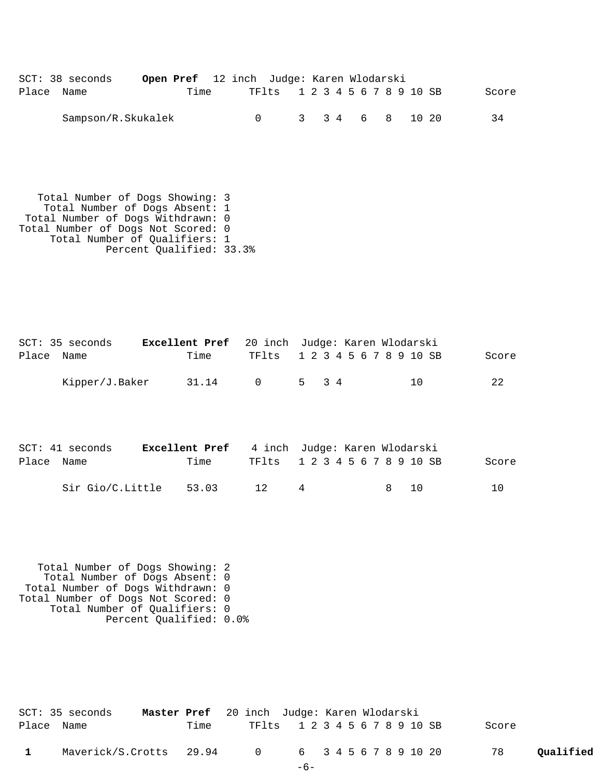|            | SCT: 38 seconds    | <b>Open Pref</b> 12 inch Judge: Karen Wlodarski |      |                               |  |                 |  |  |       |
|------------|--------------------|-------------------------------------------------|------|-------------------------------|--|-----------------|--|--|-------|
| Place Name |                    |                                                 | Time | TF1ts 1 2 3 4 5 6 7 8 9 10 SB |  |                 |  |  | Score |
|            | Sampson/R.Skukalek |                                                 |      |                               |  | 3 3 4 6 8 10 20 |  |  | 34    |

 Total Number of Dogs Showing: 3 Total Number of Dogs Absent: 1 Total Number of Dogs Withdrawn: 0 Total Number of Dogs Not Scored: 0 Total Number of Qualifiers: 1 Percent Qualified: 33.3%

|            | SCT: 35 seconds | <b>Excellent Pref</b> 20 inch Judge: Karen Wlodarski |                               |       |  |  |  |    |  |       |
|------------|-----------------|------------------------------------------------------|-------------------------------|-------|--|--|--|----|--|-------|
| Place Name |                 | Time                                                 | TF1ts 1 2 3 4 5 6 7 8 9 10 SB |       |  |  |  |    |  | Score |
|            | Kipper/J.Baker  | 31.14                                                | $\cap$                        | 5 3 4 |  |  |  | 10 |  | 2.2.  |

|            | SCT: 41 seconds  | <b>Excellent Pref</b> 4 inch Judge: Karen Wlodarski |                               |                |       |       |
|------------|------------------|-----------------------------------------------------|-------------------------------|----------------|-------|-------|
| Place Name |                  | Time                                                | TF1ts 1 2 3 4 5 6 7 8 9 10 SB |                |       | Score |
|            | Sir Gio/C.Little | 53.03                                               | 12                            | $\overline{a}$ | 8 1 O | 1 N   |

 Total Number of Dogs Showing: 2 Total Number of Dogs Absent: 0 Total Number of Dogs Withdrawn: 0 Total Number of Dogs Not Scored: 0 Total Number of Qualifiers: 0 Percent Qualified: 0.0%

| SCT: 35 seconds                                 | Master Pref 20 inch Judge: Karen Wlodarski |      |                               |       |  |  |  |  |       |           |
|-------------------------------------------------|--------------------------------------------|------|-------------------------------|-------|--|--|--|--|-------|-----------|
| Place Name                                      |                                            | Time | TF1ts 1 2 3 4 5 6 7 8 9 10 SB |       |  |  |  |  | Score |           |
| Maverick/S.Crotts 29.94 0 6 3 4 5 6 7 8 9 10 20 |                                            |      |                               |       |  |  |  |  | 78    | Oualified |
|                                                 |                                            |      |                               | $-6-$ |  |  |  |  |       |           |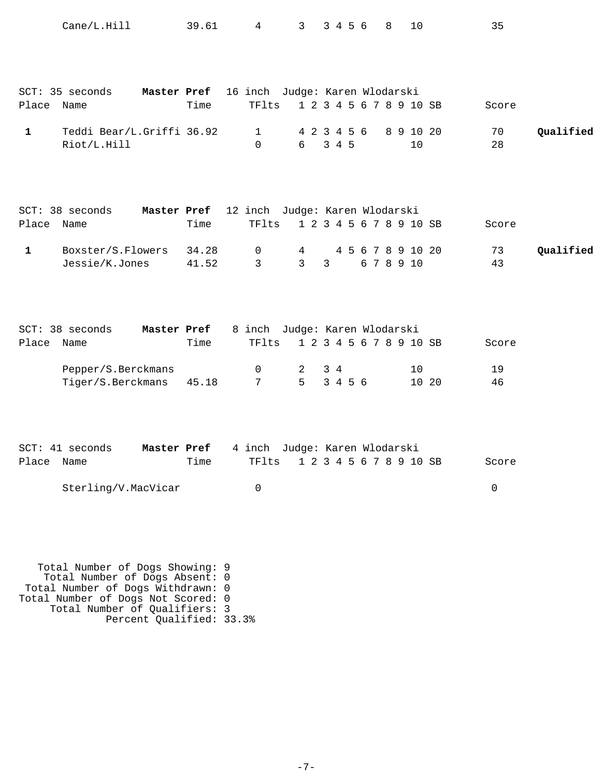|              | Cane/L.Hill                                                                                                                                                                                               | 39.61               | 4                                                   | 3                               | 3 4 5 6               | 8          | 10                      | 35       |           |
|--------------|-----------------------------------------------------------------------------------------------------------------------------------------------------------------------------------------------------------|---------------------|-----------------------------------------------------|---------------------------------|-----------------------|------------|-------------------------|----------|-----------|
| Place Name   | SCT: 35 seconds                                                                                                                                                                                           | Master Pref<br>Time | 16 inch Judge: Karen Wlodarski<br>TFlts             |                                 |                       |            | 1 2 3 4 5 6 7 8 9 10 SB | Score    |           |
| 1            | Teddi Bear/L.Griffi 36.92<br>Riot/L.Hill                                                                                                                                                                  |                     | $\mathbf 1$<br>$\Omega$                             | 6                               | 4 2 3 4 5 6<br>3 4 5  |            | 8 9 10 20<br>10         | 70<br>28 | Qualified |
| Place Name   | SCT: 38 seconds                                                                                                                                                                                           | Time                | Master Pref 12 inch Judge: Karen Wlodarski<br>TFlts |                                 |                       |            | 1 2 3 4 5 6 7 8 9 10 SB | Score    |           |
| $\mathbf{1}$ | Boxster/S.Flowers<br>Jessie/K.Jones                                                                                                                                                                       | 34.28<br>41.52      | 0<br>$\mathbf{3}$                                   | $4\overline{ }$<br>$\mathbf{3}$ | $\mathbf{3}$          | 6 7 8 9 10 | 4 5 6 7 8 9 10 20       | 73<br>43 | Qualified |
| Place Name   | SCT: 38 seconds                                                                                                                                                                                           | Master Pref<br>Time | 8 inch Judge: Karen Wlodarski<br>TFlts              |                                 |                       |            | 1 2 3 4 5 6 7 8 9 10 SB | Score    |           |
|              | Pepper/S.Berckmans<br>Tiger/S.Berckmans                                                                                                                                                                   | 45.18               | 0<br>7                                              | 2<br>5 <sub>5</sub>             | $3\quad 4$<br>3 4 5 6 |            | 10<br>10 20             | 19<br>46 |           |
| Place        | SCT: 41 seconds<br>Name                                                                                                                                                                                   | Master Pref<br>Time | 4 inch Judge: Karen Wlodarski<br>TFlts              |                                 |                       |            | 1 2 3 4 5 6 7 8 9 10 SB | Score    |           |
|              | Sterling/V.MacVicar                                                                                                                                                                                       |                     | $\mathbf 0$                                         |                                 |                       |            |                         | 0        |           |
|              | Total Number of Dogs Showing: 9<br>Total Number of Dogs Absent: 0<br>Total Number of Dogs Withdrawn: 0<br>Total Number of Dogs Not Scored: 0<br>Total Number of Qualifiers: 3<br>Percent Qualified: 33.3% |                     |                                                     |                                 |                       |            |                         |          |           |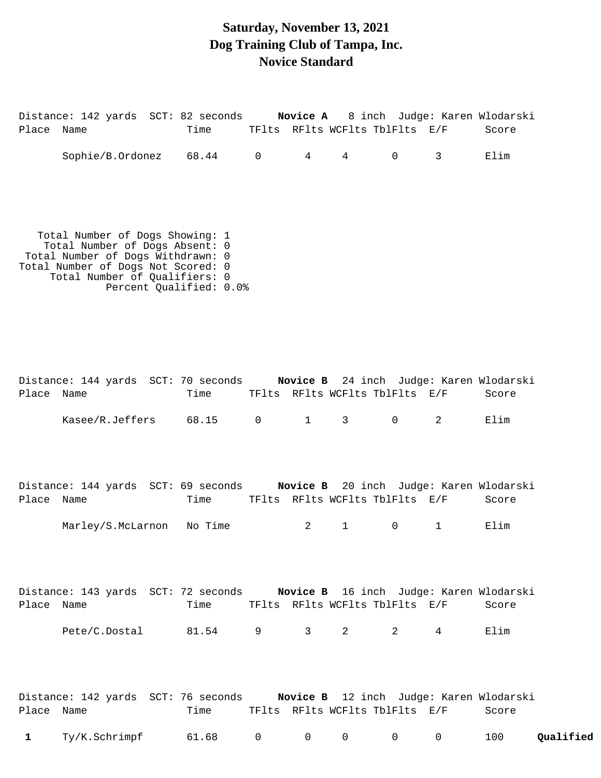#### **Saturday, November 13, 2021 Dog Training Club of Tampa, Inc. Novice Standard**

Distance: 142 yards SCT: 82 seconds **Novice A** 8 inch Judge: Karen Wlodarski Place Name Time TFlts RFlts WCFlts TblFlts E/F Score Sophie/B.Ordonez 68.44 0 4 4 0 3 Elim Total Number of Dogs Showing: 1 Total Number of Dogs Absent: 0 Total Number of Dogs Withdrawn: 0 Total Number of Dogs Not Scored: 0 Total Number of Qualifiers: 0 Percent Qualified: 0.0% Distance: 144 yards SCT: 70 seconds **Novice B** 24 inch Judge: Karen Wlodarski Place Name Time TFlts RFlts WCFlts TblFlts E/F Score Kasee/R.Jeffers 68.15 0 1 3 0 2 Elim Distance: 144 yards SCT: 69 seconds **Novice B** 20 inch Judge: Karen Wlodarski Place Name Time TFlts RFlts WCFlts TblFlts E/F Score Marley/S.McLarnon No Time  $2 \t 1 \t 0 \t 1$  Elim

Distance: 143 yards SCT: 72 seconds **Novice B** 16 inch Judge: Karen Wlodarski Place Name Time TFlts RFlts WCFlts TblFlts E/F Score Pete/C.Dostal 81.54 9 3 2 2 4 Elim

|            |                 | Distance: 142 yards SCT: 76 seconds |  |                                                    | Novice B 12 inch Judge: Karen Wlodarski |           |
|------------|-----------------|-------------------------------------|--|----------------------------------------------------|-----------------------------------------|-----------|
| Place Name |                 | Time                                |  | TFlts RFlts WCFlts TblFlts E/F                     | Score                                   |           |
|            | 1 Ty/K.Schrimpf | 61.68 0 0 0                         |  | $\begin{array}{ccc} & & & 0 & \quad & \end{array}$ | 100                                     | Qualified |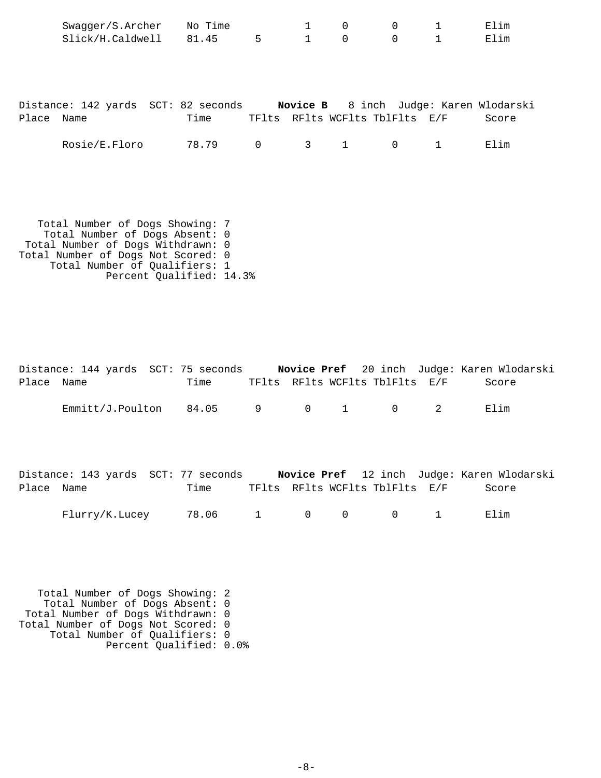|       | Swagger/S.Archer                                                           | No Time |                | 1                              | 0                              | $\mathbf 0$ | $\mathbf{1}$ | Elim  |
|-------|----------------------------------------------------------------------------|---------|----------------|--------------------------------|--------------------------------|-------------|--------------|-------|
|       | Slick/H.Caldwell 81.45                                                     |         | 5 <sub>5</sub> | $\mathbf{1}$                   | $\mathbf 0$                    | $\mathbf 0$ | $\mathbf{1}$ | Elim  |
|       |                                                                            |         |                |                                |                                |             |              |       |
|       |                                                                            |         |                |                                |                                |             |              |       |
|       |                                                                            |         |                |                                |                                |             |              |       |
|       |                                                                            |         |                |                                |                                |             |              |       |
|       | Distance: 142 yards SCT: 82 seconds Novice B 8 inch Judge: Karen Wlodarski |         |                |                                |                                |             |              |       |
|       |                                                                            |         |                |                                |                                |             |              |       |
| Place | Name                                                                       | Time    |                |                                | TFlts RFlts WCFlts TblFlts E/F |             |              | Score |
|       |                                                                            |         |                |                                |                                |             |              |       |
|       | Rosie/E.Floro                                                              | 78.79   | $\overline{0}$ | $3 \left( \frac{1}{2} \right)$ | 1                              | $\mathbf 0$ | $\mathbf{1}$ | Elim  |
|       |                                                                            |         |                |                                |                                |             |              |       |
|       |                                                                            |         |                |                                |                                |             |              |       |
|       |                                                                            |         |                |                                |                                |             |              |       |
|       |                                                                            |         |                |                                |                                |             |              |       |
|       |                                                                            |         |                |                                |                                |             |              |       |

 Total Number of Dogs Showing: 7 Total Number of Dogs Absent: 0 Total Number of Dogs Withdrawn: 0 Total Number of Dogs Not Scored: 0 Total Number of Qualifiers: 1 Percent Qualified: 14.3%

|            | Distance: 144 yards SCT: 75 seconds |      |  |                                | Novice Pref 20 inch Judge: Karen Wlodarski |
|------------|-------------------------------------|------|--|--------------------------------|--------------------------------------------|
| Place Name |                                     | Time |  | TFlts RFlts WCFlts TblFlts E/F | Score                                      |
|            | $Emmitz/J.Poulton$ 84.05 9 0 1 0 2  |      |  |                                | Flim                                       |

|            | Distance: 143 yards SCT: 77 seconds |             |  |                                              | Novice Pref 12 inch Judge: Karen Wlodarski |
|------------|-------------------------------------|-------------|--|----------------------------------------------|--------------------------------------------|
| Place Name |                                     | Time        |  | TFlts RFlts WCFlts TblFlts E/F               | Score                                      |
|            | Flurry/K.Lucey                      | 78.06 1 0 0 |  | $\begin{array}{ccc} & & 0 & & 1 \end{array}$ | Elim                                       |

 Total Number of Dogs Showing: 2 Total Number of Dogs Absent: 0 Total Number of Dogs Withdrawn: 0 Total Number of Dogs Not Scored: 0 Total Number of Qualifiers: 0 Percent Qualified: 0.0%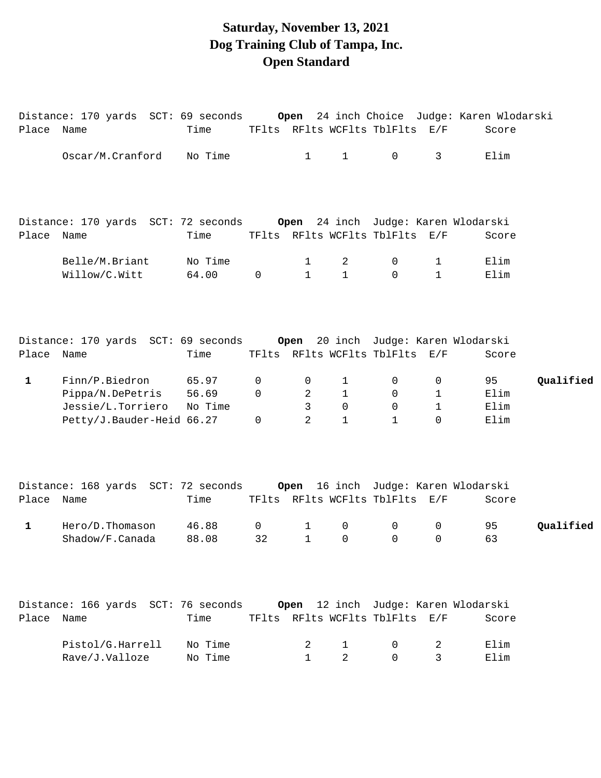# **Saturday, November 13, 2021 Dog Training Club of Tampa, Inc. Open Standard**

| Place Name   | Distance: 170 yards  SCT: 69 seconds                                    | Time           |             |              |                  | TFlts RFlts WCFlts TblFlts E/F |              | Open 24 inch Choice Judge: Karen Wlodarski<br>Score |           |
|--------------|-------------------------------------------------------------------------|----------------|-------------|--------------|------------------|--------------------------------|--------------|-----------------------------------------------------|-----------|
|              | Oscar/M.Cranford                                                        | No Time        |             | $\mathbf{1}$ | $\mathbf{1}$     | $\mathbf 0$                    | 3            | Elim                                                |           |
|              |                                                                         |                |             |              |                  |                                |              |                                                     |           |
|              | Distance: 170 yards SCT: 72 seconds                                     |                |             |              |                  |                                |              | Open 24 inch Judge: Karen Wlodarski                 |           |
| Place Name   |                                                                         | Time           |             |              |                  | TFlts RFlts WCFlts TblFlts E/F |              | Score                                               |           |
|              | Belle/M.Briant                                                          | No Time        |             | 1            | 2                | 0                              | 1            | Elim                                                |           |
|              | Willow/C.Witt                                                           | 64.00          | $\mathbf 0$ | $\mathbf{1}$ | $\mathbf{1}$     | $\Omega$                       | $\mathbf{1}$ | Elim                                                |           |
|              | Distance: 170 yards SCT: 69 seconds                                     |                |             |              |                  |                                |              | Open 20 inch Judge: Karen Wlodarski                 |           |
| Place Name   |                                                                         | Time           |             |              |                  | TFlts RFlts WCFlts TblFlts E/F |              | Score                                               |           |
|              |                                                                         |                |             |              |                  |                                |              |                                                     |           |
| $\mathbf{1}$ | Finn/P.Biedron<br>Pippa/N.DePetris                                      | 65.97<br>56.69 | 0<br>0      | 0<br>2       | $\mathbf 1$<br>1 | 0<br>0                         | 0<br>1       | 95<br>Elim                                          | Qualified |
|              | Jessie/L.Torriero                                                       | No Time        |             | 3            | 0                | $\mathbf 0$                    | $\mathbf 1$  | Elim                                                |           |
|              | Petty/J.Bauder-Heid 66.27                                               |                | 0           | 2            | $\mathbf{1}$     | $\mathbf{1}$                   | 0            | Elim                                                |           |
|              | Distance: 168 yards SCT: 72 seconds Open 16 inch Judge: Karen Wlodarski |                |             |              |                  |                                |              |                                                     |           |
| Place Name   |                                                                         | Time           |             |              |                  | TFlts RFlts WCFlts TblFlts E/F |              | Score                                               |           |
| 1            | Hero/D.Thomason                                                         | 46.88          | 0           | 1            | $\mathbf 0$      | 0                              | 0            | 95                                                  | Qualified |
|              | Shadow/F.Canada                                                         | 88.08          | 32          | 1            | 0                | 0                              | 0            | 63                                                  |           |
|              | Distance: 166 yards SCT: 76 seconds                                     |                |             | Open         |                  |                                |              | 12 inch Judge: Karen Wlodarski                      |           |
| Place        | Name                                                                    | Time           |             |              |                  | TFlts RFlts WCFlts TblFlts     | E/F          | Score                                               |           |
|              | Pistol/G.Harrell                                                        | No Time        |             | 2            | 1                | 0                              | 2            | Elim                                                |           |
|              | Rave/J.Valloze                                                          | No Time        |             | $\mathbf{1}$ | 2                | $\Omega$                       | 3            | Elim                                                |           |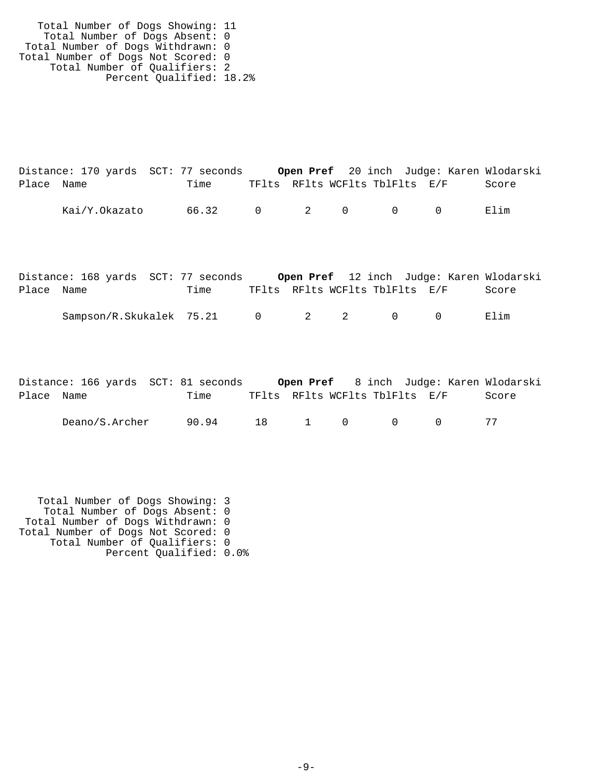Total Number of Dogs Showing: 11 Total Number of Dogs Absent: 0 Total Number of Dogs Withdrawn: 0 Total Number of Dogs Not Scored: 0 Total Number of Qualifiers: 2 Percent Qualified: 18.2%

|            | Distance: 170 yards SCT: 77 seconds |       |  |                                         | Open Pref 20 inch Judge: Karen Wlodarski |       |
|------------|-------------------------------------|-------|--|-----------------------------------------|------------------------------------------|-------|
| Place Name |                                     | Time  |  | TFlts RFlts WCFlts TblFlts E/F          |                                          | Score |
|            | Kai/Y.Okazato                       | 66.32 |  | $0 \qquad 2 \qquad 0 \qquad 0 \qquad 0$ |                                          | Elim  |

|            | Distance: 168 yards SCT: 77 seconds |      |                                |  | Open Pref 12 inch Judge: Karen Wlodarski |       |
|------------|-------------------------------------|------|--------------------------------|--|------------------------------------------|-------|
| Place Name |                                     | Time | TFlts RFlts WCFlts TblFlts E/F |  |                                          | Score |
|            | Sampson/R.Skukalek 75.21 0 2 2 0    |      |                                |  |                                          | Elim  |

|            | Distance: 166 yards SCT: 81 seconds |       |                                |  |            | Open Pref 8 inch Judge: Karen Wlodarski |
|------------|-------------------------------------|-------|--------------------------------|--|------------|-----------------------------------------|
| Place Name |                                     | Time  | TFlts RFlts WCFlts TblFlts E/F |  |            | Score                                   |
|            | Deano/S.Archer                      | 90.94 |                                |  | 18 1 0 0 0 |                                         |

 Total Number of Dogs Showing: 3 Total Number of Dogs Absent: 0 Total Number of Dogs Withdrawn: 0 Total Number of Dogs Not Scored: 0 Total Number of Qualifiers: 0 Percent Qualified: 0.0%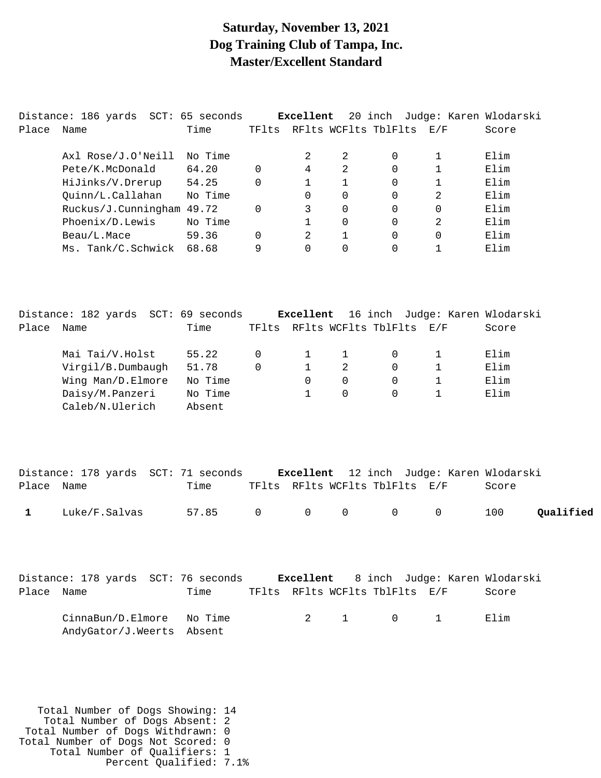#### **Saturday, November 13, 2021 Dog Training Club of Tampa, Inc. Master/Excellent Standard**

|            | Distance: 186 yards SCT: 65 seconds     |                   |                     | Excellent     |              |                                |                | 20 inch Judge: Karen Wlodarski         |
|------------|-----------------------------------------|-------------------|---------------------|---------------|--------------|--------------------------------|----------------|----------------------------------------|
| Place      | Name                                    | Time              |                     |               |              | TFlts RFlts WCFlts TblFlts E/F |                | Score                                  |
|            |                                         |                   |                     |               |              |                                |                |                                        |
|            | Axl Rose/J.O'Neill                      | No Time           |                     | 2             | 2            | 0                              | 1              | Elim<br>Elim                           |
|            | Pete/K.McDonald                         | 64.20             | 0                   | 4             | 2            | 0                              | 1              |                                        |
|            | HiJinks/V.Drerup                        | 54.25             | 0                   | 1             | 1            | 0                              | 1              | Elim                                   |
|            | Quinn/L.Callahan                        | No Time           |                     | $\Omega$      | 0            | 0                              | $\overline{a}$ | Elim                                   |
|            | Ruckus/J.Cunningham 49.72               |                   | 0                   | 3             | 0            | 0                              | 0              | Elim                                   |
|            | Phoenix/D.Lewis                         | No Time           |                     | 1             | 0            | 0                              | $\overline{a}$ | Elim                                   |
|            | Beau/L.Mace                             | 59.36             | 0                   | 2<br>$\Omega$ | $\mathbf{1}$ | 0                              | $\mathsf{O}$   | Elim                                   |
|            | Ms. Tank/C.Schwick                      | 68.68             | 9                   |               | $\Omega$     | $\Omega$                       | $\mathbf 1$    | Elim                                   |
|            | Distance: 182 yards SCT: 69 seconds     |                   |                     | Excellent     |              |                                |                | 16 inch Judge: Karen Wlodarski         |
| Place Name |                                         | Time              |                     |               |              | TFlts RFlts WCFlts TblFlts E/F |                | Score                                  |
|            |                                         |                   |                     |               |              |                                |                |                                        |
|            | Mai Tai/V.Holst                         | 55.22             | 0                   | 1             | $\mathbf 1$  | 0                              | 1              | Elim                                   |
|            | Virgil/B.Dumbaugh                       | 51.78             | 0                   | $\mathbf{1}$  | 2            | 0                              | 1              | Elim                                   |
|            | Wing Man/D.Elmore                       | No Time           |                     | 0             | 0            | 0                              | $\mathbf 1$    | Elim                                   |
|            | Daisy/M.Panzeri                         | No Time           |                     | $\mathbf 1$   | 0            | 0                              | 1              | Elim                                   |
|            | Caleb/N.Ulerich                         | Absent            |                     |               |              |                                |                |                                        |
|            | Distance: 178 yards SCT: 71 seconds     |                   |                     | Excellent     |              |                                |                | 12 inch Judge: Karen Wlodarski         |
| Place      | Name                                    | Time              |                     |               |              | TFlts RFlts WCFlts TblFlts E/F |                | Score                                  |
| 1          | Luke/F.Salvas                           | 57.85             | $\mathsf{O}\xspace$ | $\mathsf{O}$  | $\mathsf 0$  | 0                              | 0              | 100<br>Qualified                       |
| Place Name | Distance: 178 yards SCT: 76 seconds     | Time              |                     | Excellent     |              | TFlts RFlts WCFlts TblFlts E/F |                | 8 inch Judge: Karen Wlodarski<br>Score |
|            |                                         |                   |                     |               |              |                                |                |                                        |
|            | CinnaBun/D.Elmore<br>AndyGator/J.Weerts | No Time<br>Absent |                     | 2             | $\mathbf{1}$ | $\mathbf 0$                    | $\mathbf{1}$   | Elim                                   |

 Total Number of Dogs Showing: 14 Total Number of Dogs Absent: 2 Total Number of Dogs Withdrawn: 0 Total Number of Dogs Not Scored: 0 Total Number of Qualifiers: 1 Percent Qualified: 7.1%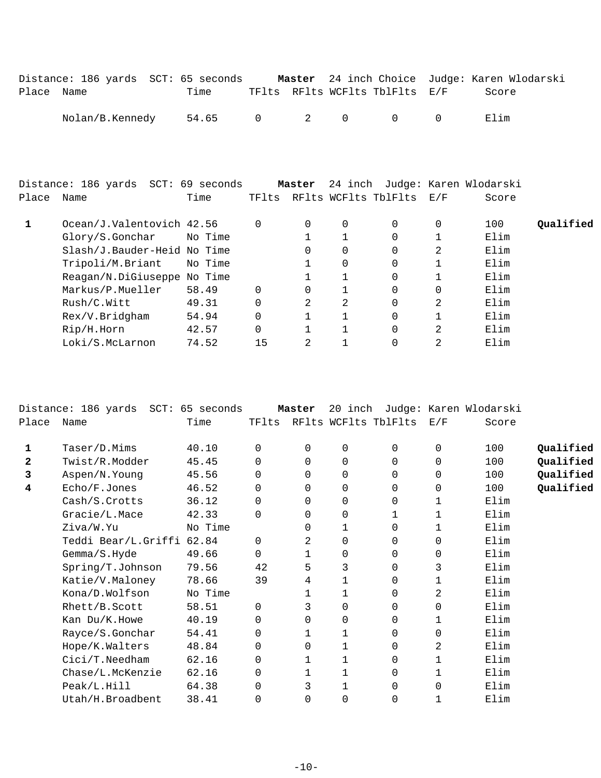|            | Distance: 186 yards SCT: 65 seconds |               |  |                                |                | Master 24 inch Choice Judge: Karen Wlodarski |
|------------|-------------------------------------|---------------|--|--------------------------------|----------------|----------------------------------------------|
| Place Name |                                     | Time          |  | TFlts RFlts WCFlts TblFlts E/F |                | Score                                        |
|            | Nolan/B.Kennedy                     | 54.65 0 2 0 0 |  |                                | $\overline{a}$ | Flim                                         |

|       | Distance: 186 yards SCT: 69 seconds |         |          | Master   | 24 inch      |                            |     | Judge: Karen Wlodarski |           |
|-------|-------------------------------------|---------|----------|----------|--------------|----------------------------|-----|------------------------|-----------|
| Place | Name                                | Time    |          |          |              | TFlts RFlts WCFlts TblFlts | E/F | Score                  |           |
|       | Ocean/J.Valentovich 42.56           |         | 0        | 0        | 0            |                            | 0   | 100                    | Oualified |
|       | Glory/S.Gonchar                     | No Time |          |          |              | $\Omega$                   |     | Elim                   |           |
|       | Slash/J.Bauder-Heid No Time         |         |          | 0        | 0            | $\Omega$                   | 2   | Elim                   |           |
|       | Tripoli/M.Briant                    | No Time |          |          | 0            |                            |     | Elim                   |           |
|       | Reagan/N.DiGiuseppe No Time         |         |          |          |              |                            |     | Elim                   |           |
|       | Markus/P.Mueller                    | 58.49   | $\Omega$ | $\Omega$ | 1            | $\Omega$                   | 0   | Elim                   |           |
|       | Rush/C.Witt                         | 49.31   | $\Omega$ | 2        | 2            | $\Omega$                   | 2   | Elim                   |           |
|       | Rex/V.Bridgham                      | 54.94   | $\Omega$ |          | $\mathbf{1}$ | $\Omega$                   |     | Elim                   |           |
|       | Rip/H.Horn                          | 42.57   | 0        |          | $\mathbf{1}$ | $\Omega$                   | 2   | Elim                   |           |
|       | Loki/S.McLarnon                     | 74.52   | 15       | 2        |              |                            | 2   | Elim                   |           |

|       | Distance: 186 yards SCT: 65 seconds |         |          | Master   |             |                      |              | 20 inch Judge: Karen Wlodarski |           |
|-------|-------------------------------------|---------|----------|----------|-------------|----------------------|--------------|--------------------------------|-----------|
| Place | Name                                | Time    | TFlts    |          |             | RFlts WCFlts TblFlts | E/F          | Score                          |           |
| 1     | Taser/D.Mims                        | 40.10   | $\Omega$ | $\Omega$ | $\mathbf 0$ | 0                    | 0            | 100                            | Qualified |
| 2     | Twist/R.Modder                      | 45.45   | $\Omega$ | $\Omega$ | $\mathbf 0$ | 0                    | $\mathbf 0$  | 100                            | Qualified |
| 3     | Aspen/N.Young                       | 45.56   | $\Omega$ | $\Omega$ | $\Omega$    | $\Omega$             | $\Omega$     | 100                            | Qualified |
| 4     | Echo/F.Jones                        | 46.52   | 0        | $\Omega$ | $\mathbf 0$ | 0                    | $\mathbf 0$  | 100                            | Qualified |
|       | Cash/S.Crotts                       | 36.12   | 0        | 0        | 0           | 0                    | 1            | Elim                           |           |
|       | Gracie/L.Mace                       | 42.33   | $\Omega$ | 0        | 0           |                      | 1            | Elim                           |           |
|       | Ziva/W.Yu                           | No Time |          | 0        | 1           | 0                    | $\mathbf 1$  | Elim                           |           |
|       | Teddi Bear/L.Griffi                 | 62.84   | $\Omega$ | 2        | 0           | 0                    | 0            | Elim                           |           |
|       | Gemma/S.Hyde                        | 49.66   | 0        | 1        | 0           | 0                    | 0            | Elim                           |           |
|       | Spring/T.Johnson                    | 79.56   | 42       | 5        | 3           | 0                    | 3            | Elim                           |           |
|       | Katie/V.Maloney                     | 78.66   | 39       | 4        | 1           | 0                    | $\mathbf{1}$ | Elim                           |           |
|       | Kona/D.Wolfson                      | No Time |          | 1        | 1           | 0                    | 2            | Elim                           |           |
|       | $Rhett/B$ . Scott                   | 58.51   | $\Omega$ | 3        | 0           | 0                    | 0            | Elim                           |           |
|       | Kan Du/K.Howe                       | 40.19   | $\Omega$ | $\Omega$ | 0           | $\Omega$             | 1            | Elim                           |           |
|       | Rayce/S.Gonchar                     | 54.41   | 0        | 1        | 1           | 0                    | $\mathbf 0$  | Elim                           |           |
|       | Hope/K.Walters                      | 48.84   | 0        | 0        | 1           | 0                    | 2            | Elim                           |           |
|       | Cici/T.Needham                      | 62.16   | 0        | 1        | 1           | 0                    | 1            | Elim                           |           |
|       | Chase/L.McKenzie                    | 62.16   | $\Omega$ | 1        |             | 0                    | 1            | Elim                           |           |
|       | Peak/L.Hill                         | 64.38   | 0        | 3        |             | 0                    | $\Omega$     | Elim                           |           |
|       | Utah/H.Broadbent                    | 38.41   | 0        | 0        | $\Omega$    | 0                    | 1            | Elim                           |           |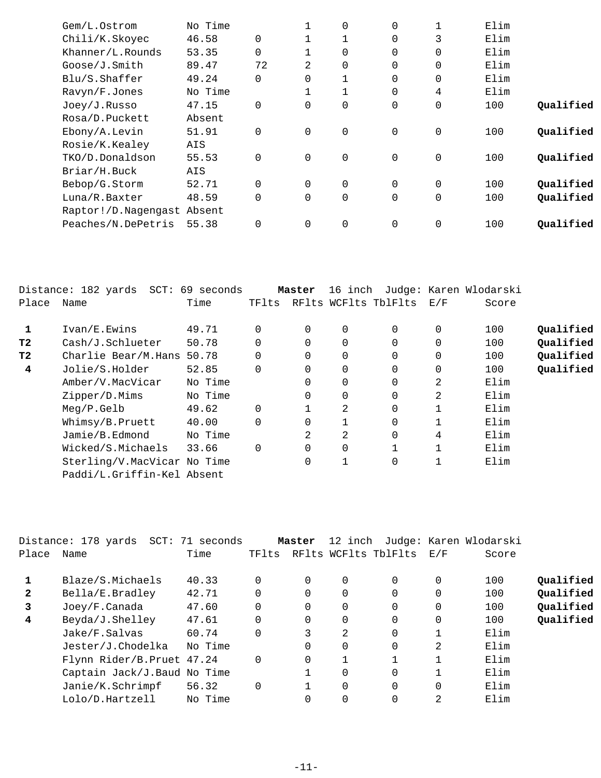| Gem/L.Ostrom               | No Time |                |                | 0 | 0              |                     | Elim |           |
|----------------------------|---------|----------------|----------------|---|----------------|---------------------|------|-----------|
| Chili/K.Skoyec             | 46.58   | $\Omega$       |                |   | $\Omega$       | 3                   | Elim |           |
| Khanner/L.Rounds           | 53.35   | $\mathbf 0$    |                | 0 | $\overline{0}$ | 0                   | Elim |           |
| Goose/J.Smith              | 89.47   | 72             | $\overline{2}$ | 0 | $\Omega$       | 0                   | Elim |           |
| Blu/S.Shaffer              | 49.24   | $\Omega$       | $\Omega$       |   | $\Omega$       | 0                   | Elim |           |
| Ravyn/F.Jones              | No Time |                |                |   | 0              | 4                   | Elim |           |
| Joey/J.Russo               | 47.15   | $\mathbf 0$    | $\Omega$       | 0 | $\overline{0}$ | $\mathsf{O}\xspace$ | 100  | Qualified |
| Rosa/D.Puckett             | Absent  |                |                |   |                |                     |      |           |
| Ebony/A.Levin              | 51.91   | $\Omega$       | $\Omega$       | 0 | $\mathbf 0$    | $\mathbf 0$         | 100  | Qualified |
| Rosie/K.Kealey             | AIS     |                |                |   |                |                     |      |           |
| TKO/D.Donaldson            | 55.53   | $\Omega$       | $\Omega$       | 0 | $\overline{0}$ | $\overline{0}$      | 100  | Qualified |
| Briar/H.Buck               | AIS     |                |                |   |                |                     |      |           |
| Bebop/G.Storm              | 52.71   | $\Omega$       | $\mathbf 0$    | 0 | $\mathbf 0$    | $\overline{0}$      | 100  | Qualified |
| Luna/R.Baxter              | 48.59   | $\Omega$       | $\Omega$       | 0 | $\Omega$       | 0                   | 100  | Qualified |
| Raptor!/D.Nagengast Absent |         |                |                |   |                |                     |      |           |
| Peaches/N.DePetris         | 55.38   | $\overline{0}$ | $\mathbf 0$    | 0 | $\overline{0}$ | 0                   | 100  | Qualified |
|                            |         |                |                |   |                |                     |      |           |

|                | Distance: 182 yards SCT: 69 seconds |         |          | Master   | 16 inch  |                      |          | Judge: Karen Wlodarski |           |
|----------------|-------------------------------------|---------|----------|----------|----------|----------------------|----------|------------------------|-----------|
| Place          | Name                                | Time    | TFlts    |          |          | RFlts WCFlts TblFlts | E/F      | Score                  |           |
| 1              | Ivan/E.Ewins                        | 49.71   | $\Omega$ | $\Omega$ | $\Omega$ | $\Omega$             | 0        | 100                    | Qualified |
| T <sub>2</sub> | Cash/J.Schlueter                    | 50.78   | $\Omega$ | $\Omega$ | 0        | $\Omega$             | $\Omega$ | 100                    | Qualified |
| T <sub>2</sub> | Charlie Bear/M.Hans                 | 50.78   | $\Omega$ | $\Omega$ | 0        | $\Omega$             | 0        | 100                    | Qualified |
| 4              | Jolie/S.Holder                      | 52.85   | $\Omega$ | $\Omega$ | 0        | $\Omega$             | 0        | 100                    | Qualified |
|                | Amber/V.MacVicar                    | No Time |          | 0        | 0        | $\overline{0}$       | 2        | Elim                   |           |
|                | Zipper/D.Mims                       | No Time |          | 0        | 0        | 0                    | 2        | Elim                   |           |
|                | Meq/P.Gelb                          | 49.62   | $\Omega$ |          | 2        | $\overline{0}$       |          | Elim                   |           |
|                | Whimsy/B.Pruett                     | 40.00   | $\Omega$ | $\Omega$ |          | $\Omega$             |          | Elim                   |           |
|                | Jamie/B.Edmond                      | No Time |          | 2        | 2        | $\overline{0}$       | 4        | Elim                   |           |
|                | Wicked/S.Michaels                   | 33.66   | $\Omega$ | $\Omega$ | 0        |                      |          | Elim                   |           |
|                | Sterling/V.MacVicar No Time         |         |          | 0        |          | 0                    | 1        | Elim                   |           |
|                | Paddi/L.Griffin-Kel Absent          |         |          |          |          |                      |          |                        |           |

|                | Distance: 178 yards SCT: 71 seconds |         |          | Master   | 12 inch  |                      |              | Judge: Karen Wlodarski |           |
|----------------|-------------------------------------|---------|----------|----------|----------|----------------------|--------------|------------------------|-----------|
| Place          | Name                                | Time    | TFlts    |          |          | RFlts WCFlts TblFlts | E/F          | Score                  |           |
|                |                                     |         |          |          |          |                      |              |                        |           |
|                | Blaze/S.Michaels                    | 40.33   |          | $\Omega$ | $\Omega$ | $\Omega$             | 0            | 100                    | Oualified |
| $\overline{2}$ | Bella/E.Bradley                     | 42.71   |          | $\Omega$ | 0        | 0                    | $\mathbf{0}$ | 100                    | Oualified |
| 3              | Joey/F.Canada                       | 47.60   |          | $\Omega$ | $\Omega$ | $\Omega$             | 0            | 100                    | Qualified |
| 4              | Beyda/J.Shelley                     | 47.61   |          | $\Omega$ | $\Omega$ | $\Omega$             | $\mathbf{0}$ | 100                    | Qualified |
|                | Jake/F.Salvas                       | 60.74   |          | 3        | 2        | 0                    |              | Elim                   |           |
|                | Jester/J.Chodelka                   | No Time |          | $\Omega$ | $\Omega$ | 0                    | 2            | Elim                   |           |
|                | Flynn Rider/B.Pruet 47.24           |         | $\Omega$ | $\Omega$ |          |                      |              | Elim                   |           |
|                | Captain Jack/J. Baud No Time        |         |          |          | $\Omega$ | $\Omega$             |              | Elim                   |           |
|                | Janie/K.Schrimpf                    | 56.32   |          |          | $\Omega$ | 0                    | 0            | Elim                   |           |
|                | Lolo/D.Hartzell                     | No Time |          |          | 0        | 0                    | 2            | Elim                   |           |
|                |                                     |         |          |          |          |                      |              |                        |           |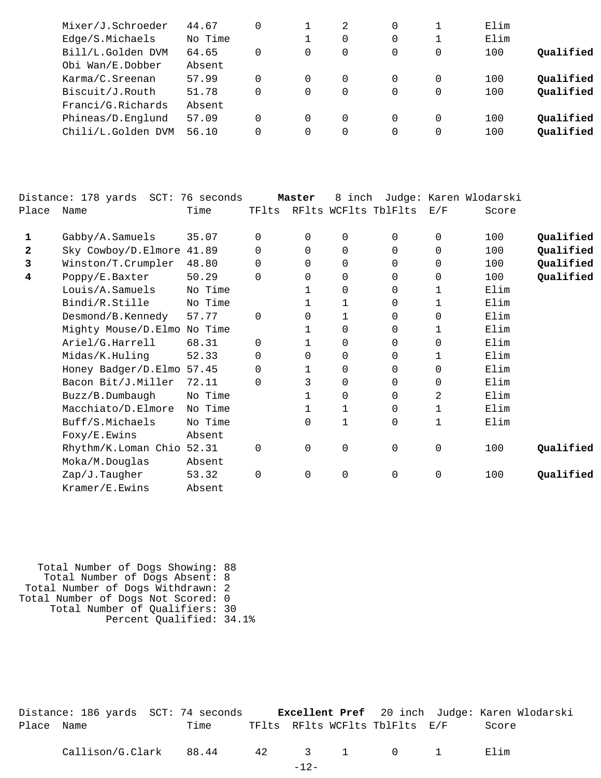| Mixer/J.Schroeder  | 44.67   |          | 2 | 0 |          | Elim |           |
|--------------------|---------|----------|---|---|----------|------|-----------|
| Edge/S.Michaels    | No Time |          | 0 |   |          | Elim |           |
| Bill/L.Golden DVM  | 64.65   | $\Omega$ | 0 |   | $\Omega$ | 100  | Qualified |
| Obi Wan/E.Dobber   | Absent  |          |   |   |          |      |           |
| Karma/C.Sreenan    | 57.99   | $\Omega$ | 0 |   | $\Omega$ | 100  | Qualified |
| Biscuit/J.Routh    | 51.78   | 0        | 0 | 0 | 0        | 100  | Qualified |
| Franci/G.Richards  | Absent  |          |   |   |          |      |           |
| Phineas/D.Englund  | 57.09   | $\Omega$ | 0 |   | $\Omega$ | 100  | Qualified |
| Chili/L.Golden DVM | 56.10   | $\Omega$ | 0 | 0 | 0        | 100  | Qualified |
|                    |         |          |   |   |          |      |           |

|              | Distance: 178 yards SCT: 76 seconds |         |          | Master   | 8 inch               |          |             | Judge: Karen Wlodarski |           |
|--------------|-------------------------------------|---------|----------|----------|----------------------|----------|-------------|------------------------|-----------|
| Place        | Name                                | Time    | TFlts    |          | RFlts WCFlts TblFlts |          | E/F         | Score                  |           |
| 1            | Gabby/A.Samuels                     | 35.07   | $\Omega$ | 0        | $\mathbf 0$          | $\Omega$ | 0           | 100                    | Qualified |
| $\mathbf{2}$ | Sky Cowboy/D.Elmore                 | 41.89   | 0        | $\Omega$ | $\Omega$             | $\Omega$ | $\Omega$    | 100                    | Qualified |
| 3            | Winston/T.Crumpler                  | 48.80   | 0        | $\Omega$ | $\mathbf 0$          | 0        | $\Omega$    | 100                    | Qualified |
| 4            | Poppy/E.Baxter                      | 50.29   | $\Omega$ | 0        | $\mathbf 0$          | 0        | $\mathbf 0$ | 100                    | Qualified |
|              | Louis/A.Samuels                     | No Time |          |          | $\mathbf 0$          | 0        | 1           | Elim                   |           |
|              | Bindi/R.Stille                      | No Time |          | 1        | 1                    | $\Omega$ | 1           | Elim                   |           |
|              | Desmond/B.Kennedy                   | 57.77   | $\Omega$ | 0        | 1                    | 0        | $\mathbf 0$ | Elim                   |           |
|              | Mighty Mouse/D.Elmo No Time         |         |          | 1        | $\mathbf 0$          | 0        | 1           | Elim                   |           |
|              | Ariel/G.Harrell                     | 68.31   | $\Omega$ |          | $\mathbf 0$          | $\Omega$ | 0           | Elim                   |           |
|              | Midas/K.Huling                      | 52.33   | $\Omega$ | 0        | $\Omega$             | $\Omega$ | 1           | Elim                   |           |
|              | Honey Badger/D.Elmo                 | 57.45   | 0        | 1        | $\mathbf 0$          | $\Omega$ | $\Omega$    | Elim                   |           |
|              | Bacon Bit/J.Miller                  | 72.11   | $\Omega$ | 3        | $\mathbf 0$          | 0        | 0           | Elim                   |           |
|              | Buzz/B.Dumbaugh                     | No Time |          |          | 0                    | 0        | 2           | Elim                   |           |
|              | Macchiato/D.Elmore                  | No Time |          | 1        | 1                    | $\Omega$ | 1           | Elim                   |           |
|              | Buff/S.Michaels                     | No Time |          | 0        | 1                    | 0        | 1           | Elim                   |           |
|              | Foxy/E.Ewins                        | Absent  |          |          |                      |          |             |                        |           |
|              | Rhythm/K.Loman Chio 52.31           |         | 0        | 0        | $\mathsf{O}\xspace$  | 0        | $\mathbf 0$ | 100                    | Qualified |
|              | Moka/M.Douglas                      | Absent  |          |          |                      |          |             |                        |           |
|              | Zap/J.Taugher                       | 53.32   | $\Omega$ | 0        | $\mathsf 0$          | $\Omega$ | $\mathbf 0$ | 100                    | Qualified |
|              | Kramer/E.Ewins                      | Absent  |          |          |                      |          |             |                        |           |

 Total Number of Dogs Showing: 88 Total Number of Dogs Absent: 8 Total Number of Dogs Withdrawn: 2 Total Number of Dogs Not Scored: 0 Total Number of Qualifiers: 30 Percent Qualified: 34.1%

|            |  | Distance: 186 yards SCT: 74 seconds |  |                                | Excellent Pref 20 inch Judge: Karen Wlodarski |
|------------|--|-------------------------------------|--|--------------------------------|-----------------------------------------------|
| Place Name |  | Time                                |  | TFlts RFlts WCFlts TblFlts E/F | Score                                         |

Callison/G.Clark 88.44 42 3 1 0 1 Elim

-12-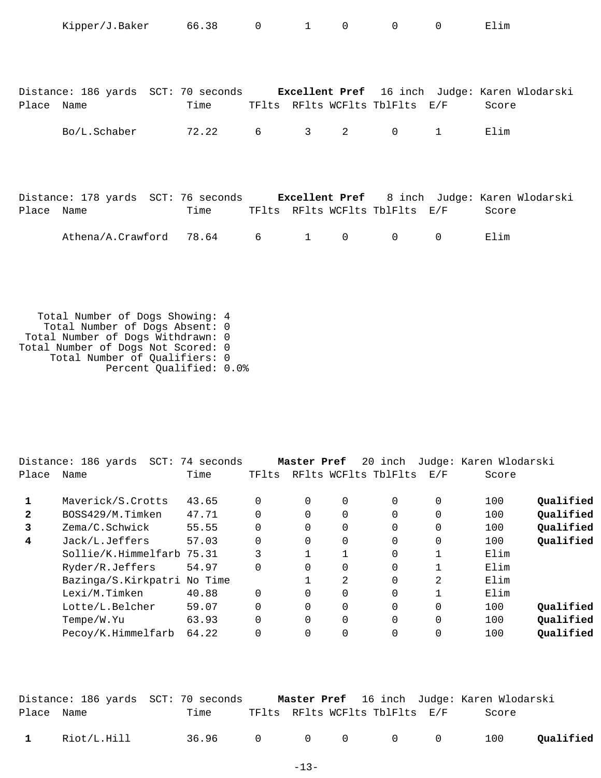|            | Kipper/J.Baker 66.38 0                                                            |                                     |   | $1 \quad \blacksquare$ | $\Omega$    | $\mathbf 0$  | $\Omega$    | Elim  |
|------------|-----------------------------------------------------------------------------------|-------------------------------------|---|------------------------|-------------|--------------|-------------|-------|
|            |                                                                                   |                                     |   |                        |             |              |             |       |
|            |                                                                                   |                                     |   |                        |             |              |             |       |
|            |                                                                                   |                                     |   |                        |             |              |             |       |
|            | Distance: 186 yards SCT: 70 seconds Excellent Pref 16 inch Judge: Karen Wlodarski |                                     |   |                        |             |              |             |       |
| Place Name |                                                                                   | Time TFIts RFIts WCFIts TblFIts E/F |   |                        |             |              |             | Score |
|            |                                                                                   |                                     |   |                        |             |              |             |       |
|            | Bo/L.Schaber                                                                      | 72.22                               | 6 | $3 \sim$               | 2           | $\mathsf{O}$ | 1           | Elim  |
|            |                                                                                   |                                     |   |                        |             |              |             |       |
|            |                                                                                   |                                     |   |                        |             |              |             |       |
|            |                                                                                   |                                     |   |                        |             |              |             |       |
|            | Distance: 178 yards SCT: 76 seconds Excellent Pref 8 inch Judge: Karen Wlodarski  |                                     |   |                        |             |              |             |       |
| Place Name |                                                                                   | Time TFlts RFlts WCFlts TblFlts E/F |   |                        |             |              |             | Score |
|            |                                                                                   |                                     |   |                        |             |              |             |       |
|            | Athena/A.Crawford 78.64                                                           |                                     | 6 | $1 \quad \blacksquare$ | $\mathbf 0$ | 0            | $\mathbf 0$ | Elim  |
|            |                                                                                   |                                     |   |                        |             |              |             |       |
|            |                                                                                   |                                     |   |                        |             |              |             |       |
|            |                                                                                   |                                     |   |                        |             |              |             |       |

 Total Number of Dogs Showing: 4 Total Number of Dogs Absent: 0 Total Number of Dogs Withdrawn: 0 Total Number of Dogs Not Scored: 0 Total Number of Qualifiers: 0 Percent Qualified: 0.0%

|              | Distance: 186 yards<br>SCT: | 74 seconds |          | Master Pref |                | 20 inch              |          | Judge: Karen Wlodarski |           |
|--------------|-----------------------------|------------|----------|-------------|----------------|----------------------|----------|------------------------|-----------|
| Place        | Name                        | Time       | TFlts    |             |                | RFlts WCFlts TblFlts | E/F      | Score                  |           |
|              | Maverick/S.Crotts           | 43.65      | 0        | 0           | 0              | $\Omega$             | 0        | 100                    | Oualified |
| $\mathbf{2}$ | BOSS429/M.Timken            | 47.71      | $\Omega$ |             | $\Omega$       | $\Omega$             |          | 100                    | Qualified |
| 3            | Zema/C.Schwick              | 55.55      | $\Omega$ | 0           | $\overline{0}$ | $\Omega$             | $\Omega$ | 100                    | Qualified |
| 4            | Jack/L.Jeffers              | 57.03      | $\Omega$ | 0           | $\overline{0}$ | $\Omega$             | $\Omega$ | 100                    | Qualified |
|              | Sollie/K.Himmelfarb 75.31   |            | 3        |             |                | $\Omega$             |          | Elim                   |           |
|              | Ryder/R.Jeffers             | 54.97      | $\Omega$ | $\Omega$    | $\Omega$       | $\Omega$             |          | Elim                   |           |
|              | Bazinga/S.Kirkpatri         | No Time    |          |             | 2              | $\Omega$             | 2        | Elim                   |           |
|              | Lexi/M.Timken               | 40.88      | $\Omega$ |             | $\overline{0}$ | 0                    |          | Elim                   |           |
|              | Lotte/L.Belcher             | 59.07      | $\Omega$ | $\Omega$    | $\Omega$       | $\Omega$             | $\Omega$ | 100                    | Oualified |
|              | Tempe/W.Yu                  | 63.93      | $\Omega$ | $\Omega$    | $\Omega$       | $\Omega$             | $\Omega$ | 100                    | Qualified |
|              | Pecoy/K.Himmelfarb          | 64.22      |          |             | 0              | 0                    |          | 100                    | Qualified |
|              |                             |            |          |             |                |                      |          |                        |           |

|              |             | Distance: 186 yards SCT: 70 seconds |  |                                | Master Pref 16 inch Judge: Karen Wlodarski |           |
|--------------|-------------|-------------------------------------|--|--------------------------------|--------------------------------------------|-----------|
| Place Name   |             | Time                                |  | TFlts RFlts WCFlts TblFlts E/F | Score                                      |           |
| $\mathbf{1}$ | Riot/L.Hill | 36.96 0 0 0 0 0                     |  |                                | 100                                        | Qualified |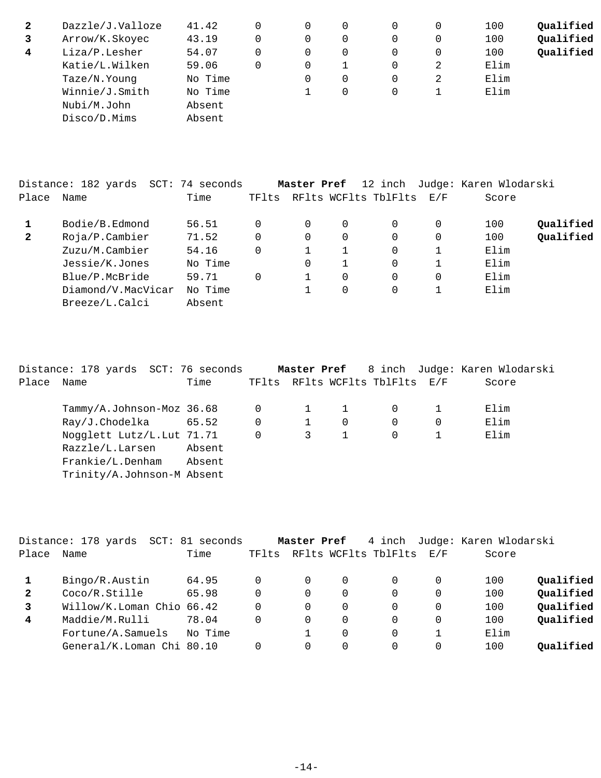| 2 | Dazzle/J.Valloze | 41.42   | 0 | 0 | 0        | 100  | Qualified |
|---|------------------|---------|---|---|----------|------|-----------|
| 3 | Arrow/K.Skoyec   | 43.19   | 0 | 0 | $\Omega$ | 100  | Qualified |
| 4 | Liza/P.Lesher    | 54.07   | 0 | 0 | 0        | 100  | Qualified |
|   | Katie/L.Wilken   | 59.06   | 0 |   | 2        | Elim |           |
|   | Taze/N.Young     | No Time |   | 0 | 2        | Elim |           |
|   | Winnie/J.Smith   | No Time |   | 0 |          | Elim |           |
|   | Nubi/M.John      | Absent  |   |   |          |      |           |
|   | Disco/D.Mims     | Absent  |   |   |          |      |           |

|              | Distance: 182 yards | SCT: 74 seconds |       | Master Pref |   |                          |   | 12 inch Judge: Karen Wlodarski |           |
|--------------|---------------------|-----------------|-------|-------------|---|--------------------------|---|--------------------------------|-----------|
| Place        | Name                | Time            | TFlts |             |   | RFlts WCFlts TblFlts E/F |   | Score                          |           |
|              | Bodie/B.Edmond      | 56.51           |       | 0           | 0 | 0                        | 0 | 100                            | Qualified |
| $\mathbf{2}$ | Roja/P.Cambier      | 71.52           |       | $\Omega$    | 0 | 0                        | 0 | 100                            | Qualified |
|              | Zuzu/M.Cambier      | 54.16           |       |             |   | 0                        |   | Elim                           |           |
|              | Jessie/K.Jones      | No Time         |       | 0           |   | 0                        |   | Elim                           |           |
|              | Blue/P.McBride      | 59.71           |       |             | 0 | 0                        | 0 | Elim                           |           |
|              | Diamond/V.MacVicar  | No Time         |       |             | 0 | 0                        |   | Elim                           |           |
|              | Breeze/L.Calci      | Absent          |       |             |   |                          |   |                                |           |

|            | Distance: 178 yards SCT: 76 seconds |        |             |   |              |                                | <b>Master Pref</b> 8 inch Judge: Karen Wlodarski |
|------------|-------------------------------------|--------|-------------|---|--------------|--------------------------------|--------------------------------------------------|
| Place Name |                                     | Time   |             |   |              | TFlts RFlts WCFlts TblFlts E/F | Score                                            |
|            | Tammy/A.Johnson-Moz 36.68           |        | 0           |   | $\mathbf{1}$ | 0                              | Elim                                             |
|            | $Ray/J$ . Chodelka 65.52            |        | $\mathbf 0$ |   | $\Omega$     | 0                              | Elim                                             |
|            | Nogglett Lutz/L. Lut 71.71          |        | $\mathbf 0$ | 3 |              | $\Omega$                       | Elim                                             |
|            | Razzle/L.Larsen                     | Absent |             |   |              |                                |                                                  |
|            | Frankie/L.Denham                    | Absent |             |   |              |                                |                                                  |
|            | Trinity/A.Johnson-M Absent          |        |             |   |              |                                |                                                  |

|              | Distance: 178 yards       | SCT: 81 seconds |       | Master Pref |          | 4 inch               |     | Judge: Karen Wlodarski |           |
|--------------|---------------------------|-----------------|-------|-------------|----------|----------------------|-----|------------------------|-----------|
| Place        | Name                      | Time            | TF1ts |             |          | RFlts WCFlts TblFlts | E/F | Score                  |           |
|              | Bingo/R.Austin            | 64.95           |       |             | $\Omega$ | $\Omega$             |     | 100                    | Qualified |
| $\mathbf{2}$ | Coco/R.Stille             | 65.98           |       | 0           | 0        | 0                    |     | 100                    | Qualified |
| 3            | Willow/K.Loman Chio 66.42 |                 | 0     | 0           | 0        | 0                    |     | 100                    | Qualified |
| 4            | Maddie/M.Rulli            | 78.04           |       | 0           | 0        | 0                    |     | 100                    | Qualified |
|              | Fortune/A.Samuels         | No Time         |       |             | $\Omega$ | 0                    |     | Elim                   |           |
|              | General/K.Loman Chi 80.10 |                 |       | 0           | 0        |                      |     | 100                    | Oualified |
|              |                           |                 |       |             |          |                      |     |                        |           |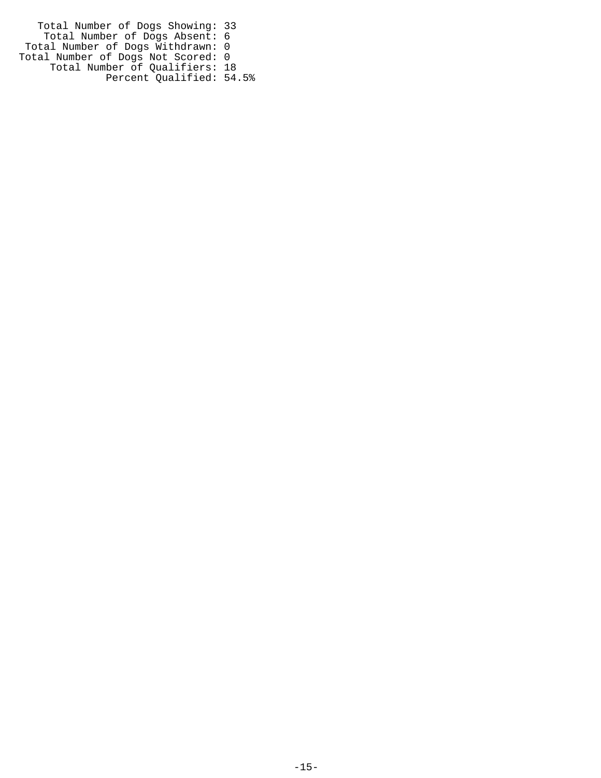Total Number of Dogs Showing: 33 Total Number of Dogs Absent: 6 Total Number of Dogs Withdrawn: 0 Total Number of Dogs Not Scored: 0 Total Number of Qualifiers: 18 Percent Qualified: 54.5%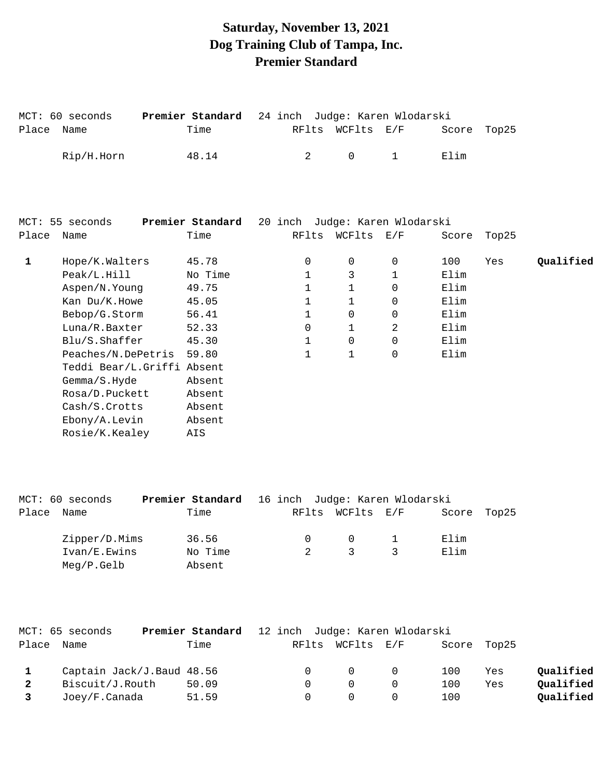# **Saturday, November 13, 2021 Dog Training Club of Tampa, Inc. Premier Standard**

| Place        | MCT: 60 seconds<br>Name    | Premier Standard<br>Time | RFlts          | WCFlts E/F          | 24 inch Judge: Karen Wlodarski | Score | Top25 |           |
|--------------|----------------------------|--------------------------|----------------|---------------------|--------------------------------|-------|-------|-----------|
|              | Rip/H.Horn                 | 48.14                    | $\overline{2}$ | $\mathbf 0$         | $\mathbf{1}$                   | Elim  |       |           |
|              |                            |                          |                |                     |                                |       |       |           |
|              | MCT: 55 seconds            | Premier Standard         |                |                     | 20 inch Judge: Karen Wlodarski |       |       |           |
| Place        | Name                       | Time                     | RFlts          | WCFlts E/F          |                                | Score | Top25 |           |
|              |                            |                          |                |                     |                                |       |       |           |
| $\mathbf{1}$ | Hope/K.Walters             | 45.78                    | 0              | $\mathsf{O}\xspace$ | 0                              | 100   | Yes   | Qualified |
|              | Peak/L.Hill                | No Time                  | $\mathbf{1}$   | 3                   | $\mathbf{1}$                   | Elim  |       |           |
|              | Aspen/N.Young              | 49.75                    | $\mathbf{1}$   | 1                   | $\Omega$                       | Elim  |       |           |
|              | Kan Du/K.Howe              | 45.05                    | $\mathbf{1}$   | $\mathbf{1}$        | 0                              | Elim  |       |           |
|              | Bebop/G.Storm              | 56.41                    | $\mathbf{1}$   | 0                   | $\Omega$                       | Elim  |       |           |
|              | Luna/R.Baxter              | 52.33                    | 0              | 1                   | $\overline{2}$                 | Elim  |       |           |
|              | Blu/S. Shafter             | 45.30                    | 1              | $\mathsf{O}$        | $\Omega$                       | Elim  |       |           |
|              | Peaches/N.DePetris         | 59.80                    | 1              | 1                   | $\mathbf 0$                    | Elim  |       |           |
|              | Teddi Bear/L.Griffi Absent |                          |                |                     |                                |       |       |           |
|              | Gemma/S.Hyde               | Absent                   |                |                     |                                |       |       |           |
|              | Rosa/D.Puckett             | Absent                   |                |                     |                                |       |       |           |
|              | Cash/S.Crotts              | Absent                   |                |                     |                                |       |       |           |
|              | Ebony/A.Levin              | Absent                   |                |                     |                                |       |       |           |
|              | Rosie/K.Kealey             | AIS                      |                |                     |                                |       |       |           |
|              |                            |                          |                |                     |                                |       |       |           |

|       | MCT: 60 seconds | Premier Standard 16 inch Judge: Karen Wlodarski |          |                  |             |  |
|-------|-----------------|-------------------------------------------------|----------|------------------|-------------|--|
| Place | Name            | Time                                            |          | RFlts WCFlts E/F | Score Top25 |  |
|       | Zipper/D.Mims   | 36.56                                           | $\Omega$ | $\cap$           | Elim        |  |
|       | Ivan/E.Ewins    | No Time                                         |          | 3                | Elim        |  |
|       | $Meq/P$ . Gelb  | Absent                                          |          |                  |             |  |

|              | MCT: 65 seconds           | <b>Premier Standard</b> 12 inch Judge: Karen Wlodarski |        |                                         |        |             |     |           |
|--------------|---------------------------|--------------------------------------------------------|--------|-----------------------------------------|--------|-------------|-----|-----------|
|              | Place Name                | Time                                                   |        | RFlts WCFlts E/F                        |        | Score Top25 |     |           |
|              | Captain Jack/J.Baud 48.56 |                                                        |        | $\begin{matrix} 0 & 0 & 0 \end{matrix}$ |        | 100         | Yes | Qualified |
| $\mathbf{2}$ | Biscuit/J.Routh           | 50.09                                                  | $\cup$ | $\Omega$                                | $\cap$ | 100         | Yes | Qualified |
| $\mathbf{3}$ | Joey/F.Canada             | 51.59                                                  |        |                                         |        | 100         |     | Qualified |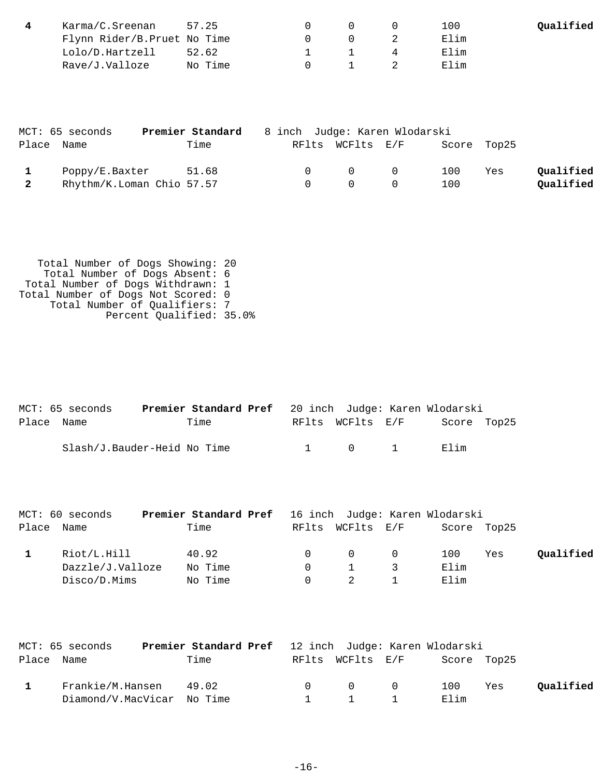| Karma/C.Sreenan             | 57.25   |                                | 100  | Qualified |
|-----------------------------|---------|--------------------------------|------|-----------|
| Flynn Rider/B.Pruet No Time |         | (1)                            | Elim |           |
| Lolo/D.Hartzell             | 52.62   | and the company of the company | Elim |           |
| Rave/J.Valloze              | No Time |                                | Elim |           |

|                | MCT: 65 seconds           | Premier Standard | 8 inch Judge: Karen Wlodarski |                  |             |     |           |
|----------------|---------------------------|------------------|-------------------------------|------------------|-------------|-----|-----------|
|                | Place Name                | Time             |                               | RFlts WCFlts E/F | Score Top25 |     |           |
|                | Poppy/E.Baxter            | 51.68            | $\cap$                        | $\overline{0}$ 0 | 100         | Yes | Qualified |
| $\overline{2}$ | Rhythm/K.Loman Chio 57.57 |                  | $\Omega$                      | $\Omega$         | 100         |     | Qualified |

 Total Number of Dogs Showing: 20 Total Number of Dogs Absent: 6 Total Number of Dogs Withdrawn: 1 Total Number of Dogs Not Scored: 0 Total Number of Qualifiers: 7 Percent Qualified: 35.0%

|            | MCT: 65 seconds             |      |  |                       | <b>Premier Standard Pref</b> 20 inch Judge: Karen Wlodarski |  |
|------------|-----------------------------|------|--|-----------------------|-------------------------------------------------------------|--|
| Place Name |                             | Time |  | RFlts WCFlts E/F      | Score Top25                                                 |  |
|            | Slash/J.Bauder-Heid No Time |      |  | $1 \qquad 0 \qquad 1$ | Elim                                                        |  |

| MCT: 60 seconds  | <b>Premier Standard Pref</b> 16 inch Judge: Karen Wlodarski |          |                  |                |      |             |           |
|------------------|-------------------------------------------------------------|----------|------------------|----------------|------|-------------|-----------|
| Place Name       | Time                                                        |          | RFlts WCFlts E/F |                |      | Score Top25 |           |
| Riot/L.Hill      | 40.92                                                       | $\Omega$ | $\Omega$         | $\overline{0}$ | 100  | Yes         | Qualified |
| Dazzle/J.Valloze | No Time                                                     |          |                  |                | Elim |             |           |
| Disco/D.Mims     | No Time                                                     |          |                  |                | Elim |             |           |

|            | MCT: 65 seconds            | Premier Standard Pref 12 inch Judge: Karen Wlodarski |                                         |                              |     |           |
|------------|----------------------------|------------------------------------------------------|-----------------------------------------|------------------------------|-----|-----------|
| Place Name |                            | Time                                                 |                                         | RFlts WCFlts E/F Score Top25 |     |           |
|            | Frankie/M.Hansen 49.02     |                                                      | $\begin{matrix} 0 & 0 & 0 \end{matrix}$ | 100                          | Yes | Qualified |
|            | Diamond/V.MacVicar No Time |                                                      | $1 \quad 1 \quad 1$                     | Elim                         |     |           |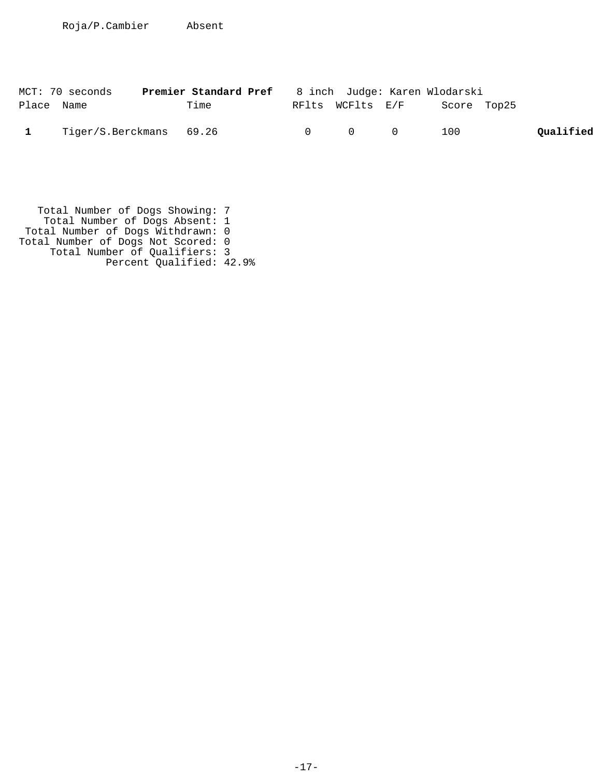|            | MCT: 70 seconds         | Premier Standard Pref |                                         | 8 inch  Judge: Karen Wlodarski |           |
|------------|-------------------------|-----------------------|-----------------------------------------|--------------------------------|-----------|
| Place Name |                         | Time                  | RFlts WCFlts E/F                        | Score Top25                    |           |
|            | Tiger/S.Berckmans 69.26 |                       | $\begin{matrix} 0 & 0 & 0 \end{matrix}$ | 100                            | Qualified |

 Total Number of Dogs Showing: 7 Total Number of Dogs Absent: 1 Total Number of Dogs Withdrawn: 0 Total Number of Dogs Not Scored: 0 Total Number of Qualifiers: 3 Percent Qualified: 42.9%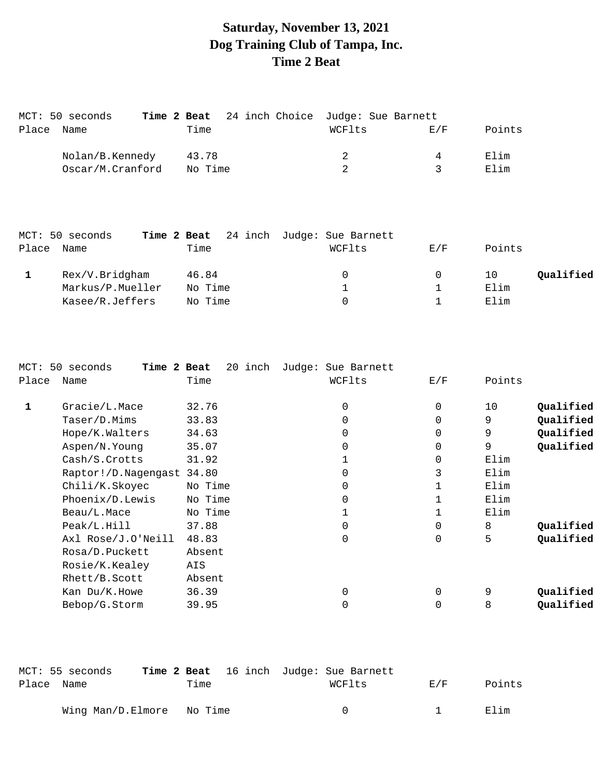# **Saturday, November 13, 2021 Dog Training Club of Tampa, Inc. Time 2 Beat**

| MCT: 50 seconds  |         |  |                | Time 2 Beat 24 inch Choice Judge: Sue Barnett |        |  |
|------------------|---------|--|----------------|-----------------------------------------------|--------|--|
| Place Name       | Time    |  | WCFlts         | E/F                                           | Points |  |
| Nolan/B.Kennedy  | 43.78   |  | $\overline{2}$ | 4                                             | Elim   |  |
| Oscar/M.Cranford | No Time |  | $\overline{2}$ |                                               | Elim   |  |

|       | MCT: 50 seconds  |         | Time 2 Beat 24 inch Judge: Sue Barnett |     |                 |
|-------|------------------|---------|----------------------------------------|-----|-----------------|
| Place | Name             | Time    | WCFlts                                 | E/F | Points          |
|       | Rex/V.Bridgham   | 46.84   | $\Omega$                               |     | Qualified<br>10 |
|       | Markus/P.Mueller | No Time |                                        |     | Elim            |
|       | Kasee/R.Jeffers  | No Time |                                        |     | Elim            |

| MCT:  | 50 seconds<br>Time 2 Beat | 20 inch | Judge:<br>Sue Barnett |             |        |           |
|-------|---------------------------|---------|-----------------------|-------------|--------|-----------|
| Place | Name                      | Time    | WCFlts                | E/F         | Points |           |
|       | Gracie/L.Mace             | 32.76   | $\Omega$              | $\mathbf 0$ | 10     | Qualified |
|       | Taser/D.Mims              | 33.83   | $\Omega$              | $\Omega$    | 9      | Qualified |
|       | Hope/K.Walters            | 34.63   | $\Omega$              | 0           | 9      | Qualified |
|       | Aspen/N.Young             | 35.07   | $\Omega$              | $\mathbf 0$ | 9      | Qualified |
|       | Cash/S.Crotts             | 31.92   |                       | $\mathbf 0$ | Elim   |           |
|       | Raptor!/D.Nagengast 34.80 |         | $\Omega$              | 3           | Elim   |           |
|       | Chili/K.Skoyec            | No Time | $\Omega$              | 1           | Elim   |           |
|       | Phoenix/D.Lewis           | No Time | $\Omega$              | $\mathbf 1$ | Elim   |           |
|       | Beau/L.Mace               | No Time |                       | 1           | Elim   |           |
|       | Peak/L.Hill               | 37.88   | $\Omega$              | $\Omega$    | 8      | Qualified |
|       | Axl Rose/J.O'Neill        | 48.83   | 0                     | $\mathbf 0$ | 5      | Qualified |
|       | Rosa/D.Puckett            | Absent  |                       |             |        |           |
|       | Rosie/K.Kealey            | AIS     |                       |             |        |           |
|       | Rhett/B.Scott             | Absent  |                       |             |        |           |
|       | Kan Du/K.Howe             | 36.39   | 0                     | 0           | 9      | Qualified |
|       | Bebop/G.Storm             | 39.95   | 0                     | 0           | 8      | Qualified |
|       |                           |         |                       |             |        |           |

|            | MCT: 55 seconds           |      | <b>Time 2 Beat</b> 16 inch Judge: Sue Barnett |     |        |
|------------|---------------------------|------|-----------------------------------------------|-----|--------|
| Place Name |                           | Time | WCFlts                                        | E/F | Points |
|            | Wing Man/D.Elmore No Time |      |                                               |     | Flim   |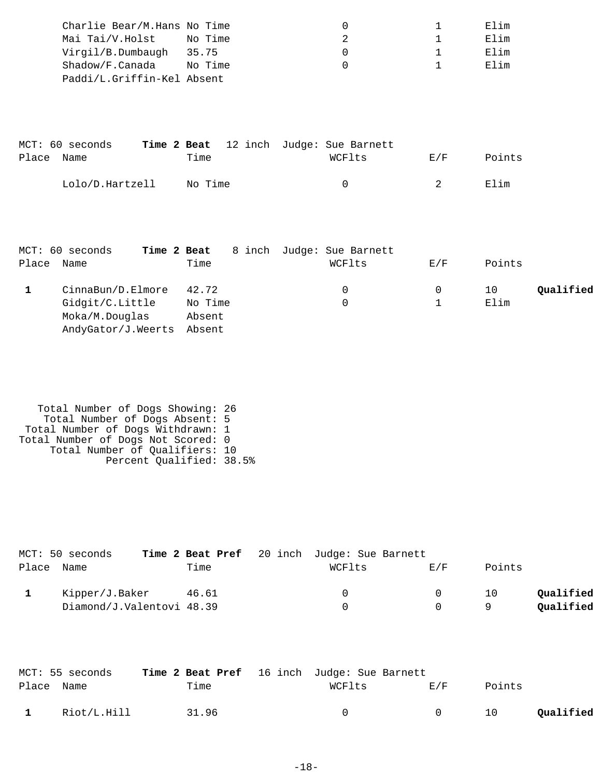| Charlie Bear/M.Hans No Time |         |  | Elim |
|-----------------------------|---------|--|------|
| Mai Tai/V.Holst             | No Time |  | Elim |
| Virgil/B.Dumbaugh           | 35.75   |  | Elim |
| Shadow/F.Canada             | No Time |  | Elim |
| Paddi/L.Griffin-Kel Absent  |         |  |      |

|            | MCT: 60 seconds |         |  | Time 2 Beat 12 inch Judge: Sue Barnett |        |        |
|------------|-----------------|---------|--|----------------------------------------|--------|--------|
| Place Name |                 | Time    |  | WCFlts                                 | F. / F | Points |
|            | Lolo/D.Hartzell | No Time |  | $\left( \right)$                       |        | Elim   |

|       | MCT: 60 seconds<br>Time 2 Beat |         | 8 inch Judge: Sue Barnett |     |                 |  |
|-------|--------------------------------|---------|---------------------------|-----|-----------------|--|
| Place | Name                           | Time    | WCFlts                    | E/F | Points          |  |
|       | CinnaBun/D.Elmore              | 42.72   |                           |     | Qualified<br>10 |  |
|       | Gidgit/C.Little                | No Time |                           |     | Elim            |  |
|       | Moka/M.Douglas                 | Absent  |                           |     |                 |  |
|       | AndyGator/J.Weerts             | Absent  |                           |     |                 |  |

```
 Total Number of Dogs Showing: 26
 Total Number of Dogs Absent: 5
 Total Number of Dogs Withdrawn: 1
Total Number of Dogs Not Scored: 0
 Total Number of Qualifiers: 10
 Percent Qualified: 38.5%
```

| MCT: 50 seconds           |       | Time 2 Beat Pref 20 inch Judge: Sue Barnett |          |        |           |
|---------------------------|-------|---------------------------------------------|----------|--------|-----------|
| Place Name                | Time  | WCFlts                                      | F/K      | Points |           |
| Kipper/J.Baker            | 46.61 | $\Omega$                                    | $\Omega$ | 10     | Qualified |
| Diamond/J.Valentovi 48.39 |       | <sup>n</sup>                                |          | Q      | Qualified |

|            | MCT: 55 seconds | Time 2 Beat Pref 16 inch Judge: Sue Barnett |        |        |        |           |
|------------|-----------------|---------------------------------------------|--------|--------|--------|-----------|
| Place Name |                 | Time                                        | WCFlts | E/F    | Points |           |
|            | Riot/L.Hill     | 31.96                                       | $\cap$ | $\cap$ | 10     | Qualified |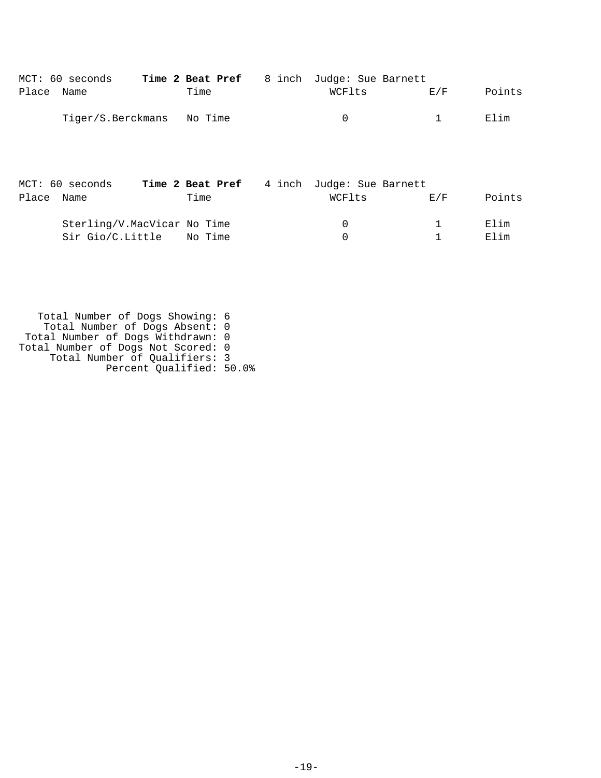| MCT: 60 seconds           |      | Time 2 Beat Pref 8 inch Judge: Sue Barnett |                                                                                                                |        |
|---------------------------|------|--------------------------------------------|----------------------------------------------------------------------------------------------------------------|--------|
| Place Name                | Time | WCFlts                                     | E/F                                                                                                            | Points |
| Tiger/S.Berckmans No Time |      | $\Omega$                                   | and the contract of the 1990s of the 1990s of the 1990s of the 1990s of the 1990s of the 1990s of the 1990s of | Elim   |
|                           |      |                                            |                                                                                                                |        |

|            | MCT: 60 seconds             |      | Time 2 Beat Pref 4 inch Judge: Sue Barnett |     |        |
|------------|-----------------------------|------|--------------------------------------------|-----|--------|
| Place Name |                             | Time | WCFlts                                     | F/K | Points |
|            | Sterling/V.MacVicar No Time |      | $\Omega$                                   |     | Elim   |
|            | Sir Gio/C.Little No Time    |      |                                            |     | Elim   |

 Total Number of Dogs Showing: 6 Total Number of Dogs Absent: 0 Total Number of Dogs Withdrawn: 0 Total Number of Dogs Not Scored: 0 Total Number of Qualifiers: 3 Percent Qualified: 50.0%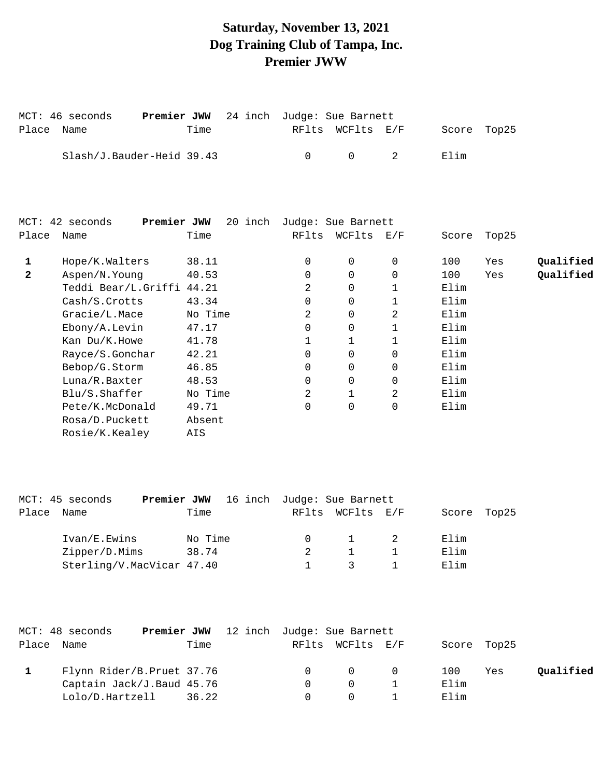# **Saturday, November 13, 2021 Dog Training Club of Tampa, Inc. Premier JWW**

|            | MCT: 46 seconds           | <b>Premier JWW</b> 24 inch Judge: Sue Barnett |        |                                        |             |  |
|------------|---------------------------|-----------------------------------------------|--------|----------------------------------------|-------------|--|
| Place Name |                           | Time                                          |        | RFlts WCFlts E/F                       | Score Top25 |  |
|            | Slash/J.Bauder-Heid 39.43 |                                               | $\cap$ | $\begin{array}{ccc} & & 2 \end{array}$ | Elim        |  |

|              | Premier JWW<br>MCT: 42 seconds | 20<br>inch |          | Judge: Sue Barnett |          |       |       |           |
|--------------|--------------------------------|------------|----------|--------------------|----------|-------|-------|-----------|
| Place        | Name                           | Time       | RFlts    | WCFlts             | E/F      | Score | Top25 |           |
| 1            | Hope/K.Walters                 | 38.11      | $\Omega$ | 0                  | $\Omega$ | 100   | Yes   | Qualified |
| $\mathbf{2}$ | Aspen/N.Young                  | 40.53      | $\Omega$ | $\Omega$           | $\Omega$ | 100   | Yes   | Qualified |
|              | Teddi Bear/L.Griffi 44.21      |            | 2        | 0                  |          | Elim  |       |           |
|              | Cash/S. Crotts                 | 43.34      | $\Omega$ | 0                  |          | Elim  |       |           |
|              | Gracie/L.Mace                  | No Time    | 2        | $\mathbf 0$        | 2        | Elim  |       |           |
|              | $E \text{bony}/A$ . Levin      | 47.17      | $\Omega$ | 0                  |          | Elim  |       |           |
|              | Kan Du/K.Howe                  | 41.78      |          |                    |          | Elim  |       |           |
|              | Rayce/S.Gonchar                | 42.21      | 0        | $\Omega$           |          | Elim  |       |           |
|              | Bebop/G.Storm                  | 46.85      | $\Omega$ | 0                  | $\Omega$ | Elim  |       |           |
|              | Luna/R.Baxter                  | 48.53      | $\Omega$ | $\Omega$           |          | Elim  |       |           |
|              | Blu/S.Shaffer                  | No Time    | 2        |                    | 2        | Elim  |       |           |
|              | Pete/K.McDonald                | 49.71      | 0        | $\mathbf 0$        | $\Omega$ | Elim  |       |           |
|              | Rosa/D.Puckett                 | Absent     |          |                    |          |       |       |           |
|              | Rosie/K.Kealey                 | AIS        |          |                    |          |       |       |           |
|              |                                |            |          |                    |          |       |       |           |

|       | MCT: 45 seconds           |         | <b>Premier JWW</b> 16 inch Judge: Sue Barnett |              |             |  |
|-------|---------------------------|---------|-----------------------------------------------|--------------|-------------|--|
| Place | Name                      | Time    | RFlts                                         | WCFlts E/F   | Score Top25 |  |
|       | Ivan/E.Ewins              | No Time |                                               | $\mathbf{1}$ | Elim        |  |
|       | Zipper/D.Mims             | 38.74   |                                               |              | Elim        |  |
|       | Sterling/V.MacVicar 47.40 |         |                                               |              | Elim        |  |

| MCT: 48 seconds           |      | <b>Premier JWW</b> 12 inch Judge: Sue Barnett |          |                  |                                     |             |     |           |
|---------------------------|------|-----------------------------------------------|----------|------------------|-------------------------------------|-------------|-----|-----------|
| Place Name                | Time |                                               |          | RFlts WCFlts E/F |                                     | Score Top25 |     |           |
| Flynn Rider/B.Pruet 37.76 |      |                                               | $\Omega$ |                  | $\begin{matrix} 0 & 0 \end{matrix}$ | 100         | Yes | Qualified |
| Captain Jack/J.Baud 45.76 |      |                                               |          | $\Omega$         |                                     | Elim        |     |           |
| Lolo/D.Hartzell 36.22     |      |                                               |          | $\Omega$         |                                     | Elim        |     |           |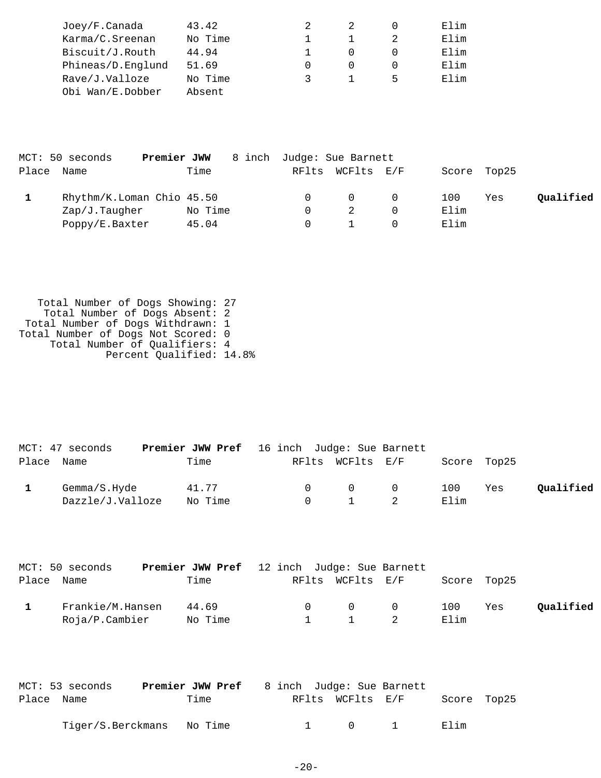| Joey/F.Canada     | 43.42   |  |   | Elim |
|-------------------|---------|--|---|------|
| Karma/C.Sreenan   | No Time |  |   | Elim |
| Biscuit/J.Routh   | 44.94   |  |   | Elim |
| Phineas/D.Englund | 51.69   |  |   | Elim |
| Rave/J.Valloze    | No Time |  | 5 | Elim |
| Obi Wan/E.Dobber  | Absent  |  |   |      |

|            | MCT: 50 seconds<br>Premier JWW |         | 8 inch Judge: Sue Barnett |                  |             |     |           |
|------------|--------------------------------|---------|---------------------------|------------------|-------------|-----|-----------|
| Place Name |                                | Time    |                           | RFlts WCFlts E/F | Score Top25 |     |           |
|            | Rhythm/K.Loman Chio 45.50      |         |                           | $\Omega$         | 100         | Yes | Oualified |
|            | Zap/J.Taugher                  | No Time |                           |                  | Elim        |     |           |
|            | Poppy/E.Baxter                 | 45.04   |                           |                  | Elim        |     |           |

 Total Number of Dogs Showing: 27 Total Number of Dogs Absent: 2 Total Number of Dogs Withdrawn: 1 Total Number of Dogs Not Scored: 0 Total Number of Qualifiers: 4 Percent Qualified: 14.8%

|            | MCT: 47 seconds  | <b>Premier JWW Pref</b> 16 inch Judge: Sue Barnett |        |                       |                                     |             |     |           |
|------------|------------------|----------------------------------------------------|--------|-----------------------|-------------------------------------|-------------|-----|-----------|
| Place Name |                  | Time                                               |        | RFlts WCFlts E/F      |                                     | Score Top25 |     |           |
|            | Gemma/S.Hyde     | 41.77                                              | $\cap$ |                       | $\begin{matrix} 0 & 0 \end{matrix}$ | 100         | Yes | Oualified |
|            | Dazzle/J.Valloze | No Time                                            |        | $0 \qquad 1 \qquad 2$ |                                     | Elim        |     |           |

| MCT: 50 seconds  | Premier JWW Pref 12 inch Judge: Sue Barnett |        |                  |                   |             |     |           |
|------------------|---------------------------------------------|--------|------------------|-------------------|-------------|-----|-----------|
| Place Name       | Time                                        |        | RFlts WCFlts E/F |                   | Score Top25 |     |           |
| Frankie/M.Hansen | 44.69                                       | $\cap$ |                  | $\Omega$ $\Omega$ | 100         | Yes | Oualified |
| Roja/P.Cambier   | No Time                                     |        |                  | 1 2               | Elim        |     |           |

|            | MCT: 53 seconds           | <b>Premier JWW Pref</b> 8 inch Judge: Sue Barnett |  |                  |             |  |
|------------|---------------------------|---------------------------------------------------|--|------------------|-------------|--|
| Place Name |                           | Time                                              |  | RFlts WCFlts E/F | Score Top25 |  |
|            | Tiger/S.Berckmans No Time |                                                   |  | $\cap$           | Elim        |  |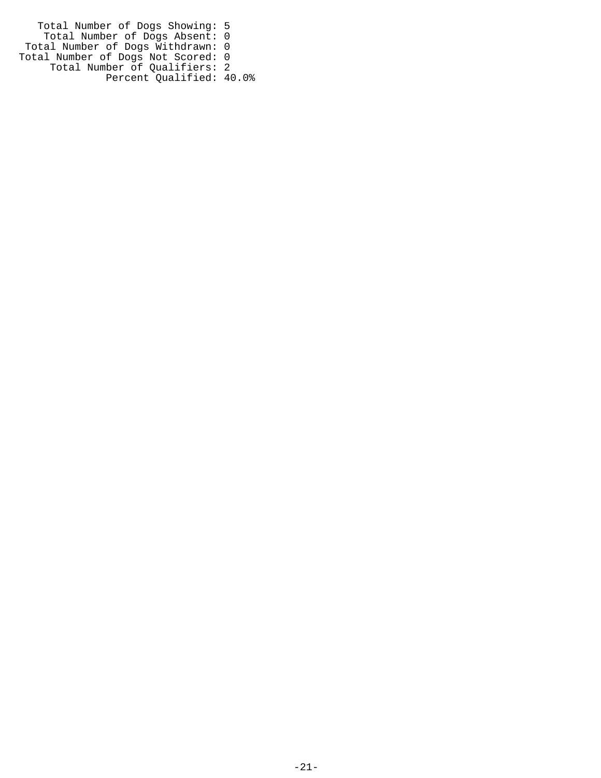Total Number of Dogs Showing: 5 Total Number of Dogs Absent: 0 Total Number of Dogs Withdrawn: 0 Total Number of Dogs Not Scored: 0 Total Number of Qualifiers: 2 Percent Qualified: 40.0%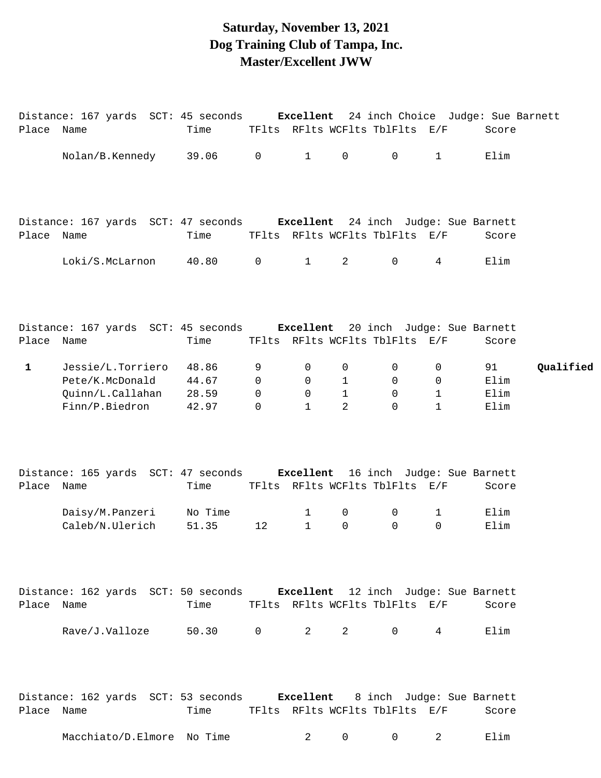### **Saturday, November 13, 2021 Dog Training Club of Tampa, Inc. Master/Excellent JWW**

| Place Name   | Distance: 167 yards SCT: 45 seconds Excellent 24 inch Choice Judge: Sue Barnett        | Time                                |                                             |                             |                                                   |                                                              | TFlts RFlts WCFlts TblFlts E/F           | Score                      |           |
|--------------|----------------------------------------------------------------------------------------|-------------------------------------|---------------------------------------------|-----------------------------|---------------------------------------------------|--------------------------------------------------------------|------------------------------------------|----------------------------|-----------|
|              | Nolan/B.Kennedy 39.06 0                                                                |                                     |                                             | $1 \quad \cdots$            | 0                                                 | $\overline{0}$                                               | $1 \qquad \qquad$                        | Elim                       |           |
| Place Name   | Distance: 167 yards SCT: 47 seconds Excellent 24 inch Judge: Sue Barnett               | Time                                |                                             |                             |                                                   |                                                              | TFlts RFlts WCFlts TblFlts E/F           | Score                      |           |
|              | Loki/S.McLarnon 40.80                                                                  |                                     | $\overline{0}$                              | $\mathbf{1}$                | $2 \quad$                                         | $\mathsf{O}$                                                 | $4\overline{ }$                          | Elim                       |           |
| Place Name   | Distance: 167 yards SCT: 45 seconds Excellent 20 inch Judge: Sue Barnett               | Time                                |                                             |                             |                                                   |                                                              | TFlts RFlts WCFlts TblFlts E/F           | Score                      |           |
| $\mathbf{1}$ | Jessie/L.Torriero 48.86<br>Pete/K.McDonald<br>Quinn/L.Callahan 28.59<br>Finn/P.Biedron | 44.67<br>42.97                      | 9<br>$\mathbf 0$<br>$\mathbf 0$<br>$\Omega$ | 0<br>0<br>0<br>$\mathbf{1}$ | $\mathbf{0}$<br>$\mathbf{1}$<br>$\mathbf{1}$<br>2 | $\mathsf{O}$<br>$\overline{0}$<br>$\overline{0}$<br>$\Omega$ | 0<br>$\overline{0}$<br>1<br>$\mathbf{1}$ | 91<br>Elim<br>Elim<br>Elim | Qualified |
| Place Name   | Distance: 165 yards SCT: 47 seconds Excellent 16 inch Judge: Sue Barnett               | Time                                |                                             |                             |                                                   | TFlts RFlts WCFlts TblFlts E/F                               |                                          | Score                      |           |
|              | Daisy/M.Panzeri No Time<br>Caleb/N.Ulerich                                             | 51.35                               | 12                                          | 1<br>$\mathbf{1}$           | 0<br>0                                            | $\mathsf{O}$<br>$\Omega$                                     | 1<br>$\Omega$                            | Elim<br>Elim               |           |
| Place Name   | Distance: 162 yards SCT: 50 seconds Excellent 12 inch Judge: Sue Barnett               | Time TFlts RFlts WCFlts TblFlts E/F |                                             |                             |                                                   |                                                              |                                          | Score                      |           |
|              | Rave/J.Valloze 50.30 0 2 2 0 4                                                         |                                     |                                             |                             |                                                   |                                                              |                                          | Elim                       |           |
| Place Name   | Distance: 162 yards SCT: 53 seconds Excellent 8 inch Judge: Sue Barnett                | Time TFlts RFlts WCFlts TblFlts E/F |                                             |                             |                                                   |                                                              |                                          | Score                      |           |
|              | Macchiato/D.Elmore No Time $2$ 0 0 2                                                   |                                     |                                             |                             |                                                   |                                                              |                                          | Elim                       |           |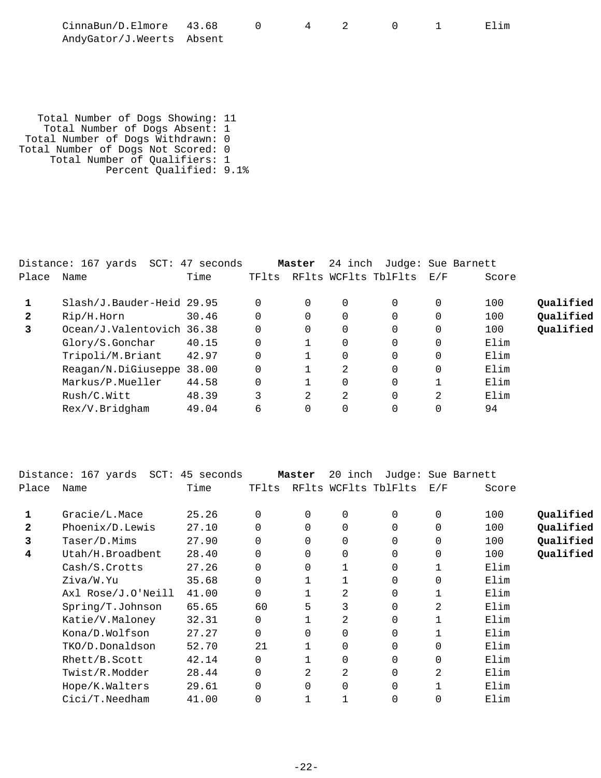| CinnaBun/D.Elmore 43.68   |  |  |  | Elim |
|---------------------------|--|--|--|------|
| AndyGator/J.Weerts Absent |  |  |  |      |

 Total Number of Dogs Showing: 11 Total Number of Dogs Absent: 1 Total Number of Dogs Withdrawn: 0 Total Number of Dogs Not Scored: 0 Total Number of Qualifiers: 1 Percent Qualified: 9.1%

|       | Distance: 167 yards SCT: 47 seconds |       |       | Master   | 24 inch  |                      |          | Judge: Sue Barnett |           |
|-------|-------------------------------------|-------|-------|----------|----------|----------------------|----------|--------------------|-----------|
| Place | Name                                | Time  | TFlts |          |          | RFlts WCFlts TblFlts | E/F      | Score              |           |
|       | Slash/J.Bauder-Heid 29.95           |       |       | $\Omega$ | 0        |                      | 0        | 100                | Qualified |
| 2     | Rip/H.Horn                          | 30.46 | 0     | 0        |          |                      |          | 100                | Qualified |
| 3     | Ocean/J.Valentovich 36.38           |       | 0     | $\Omega$ | $\Omega$ |                      | 0        | 100                | Qualified |
|       | Glory/S.Gonchar                     | 40.15 | 0     |          |          |                      | $\Omega$ | Elim               |           |
|       | Tripoli/M.Briant                    | 42.97 |       |          |          |                      | 0        | Elim               |           |
|       | Reagan/N.DiGiuseppe 38.00           |       |       |          | 2        |                      | 0        | Elim               |           |
|       | Markus/P.Mueller                    | 44.58 | 0     |          |          |                      |          | Elim               |           |
|       | Rush/C.Witt                         | 48.39 | 3     | 2        | 2        |                      | 2        | Elim               |           |
|       | Rex/V.Bridgham                      | 49.04 | 6     | 0        |          |                      |          | 94                 |           |

|       | Distance: 167 yards  SCT: 45 seconds |       |          | Master   | 20 inch |                      |             | Judge: Sue Barnett |           |
|-------|--------------------------------------|-------|----------|----------|---------|----------------------|-------------|--------------------|-----------|
| Place | Name                                 | Time  | TFlts    |          |         | RFlts WCFlts TblFlts | E/F         | Score              |           |
|       | Gracie/L.Mace                        | 25.26 | 0        | 0        | 0       | 0                    | 0           | 100                | Qualified |
| 2     | Phoenix/D.Lewis                      | 27.10 | $\Omega$ | $\Omega$ | 0       | 0                    | $\mathbf 0$ | 100                | Qualified |
| 3     | Taser/D.Mims                         | 27.90 | $\Omega$ | $\Omega$ | 0       | 0                    | $\mathbf 0$ | 100                | Qualified |
| 4     | Utah/H.Broadbent                     | 28.40 |          | $\Omega$ | 0       | 0                    | 0           | 100                | Qualified |
|       | Cash/S.Crotts                        | 27.26 | $\Omega$ | 0        |         | 0                    |             | Elim               |           |
|       | Ziva/W.Yu                            | 35.68 | $\Omega$ |          |         | 0                    | 0           | Elim               |           |
|       | Axl Rose/J.O'Neill                   | 41.00 | 0        |          | 2       | 0                    |             | Elim               |           |
|       | Spring/T.Johnson                     | 65.65 | 60       | 5        | 3       | 0                    | 2           | Elim               |           |
|       | Katie/V.Maloney                      | 32.31 | 0        |          | 2       | 0                    |             | Elim               |           |
|       | Kona/D.Wolfson                       | 27.27 | $\Omega$ | 0        | 0       | 0                    |             | Elim               |           |
|       | TKO/D.Donaldson                      | 52.70 | 21       |          | 0       | 0                    | $\mathbf 0$ | Elim               |           |
|       | Rhett/B.Scott                        | 42.14 | $\Omega$ |          | 0       | 0                    | $\mathbf 0$ | Elim               |           |
|       | Twist/R.Modder                       | 28.44 |          | 2.       | 2       | 0                    | 2           | Elim               |           |
|       | Hope/K.Walters                       | 29.61 | 0        | $\Omega$ | 0       | 0                    |             | Elim               |           |
|       | $Cici/T.$ Needham                    | 41.00 |          |          |         | 0                    | 0           | Elim               |           |
|       |                                      |       |          |          |         |                      |             |                    |           |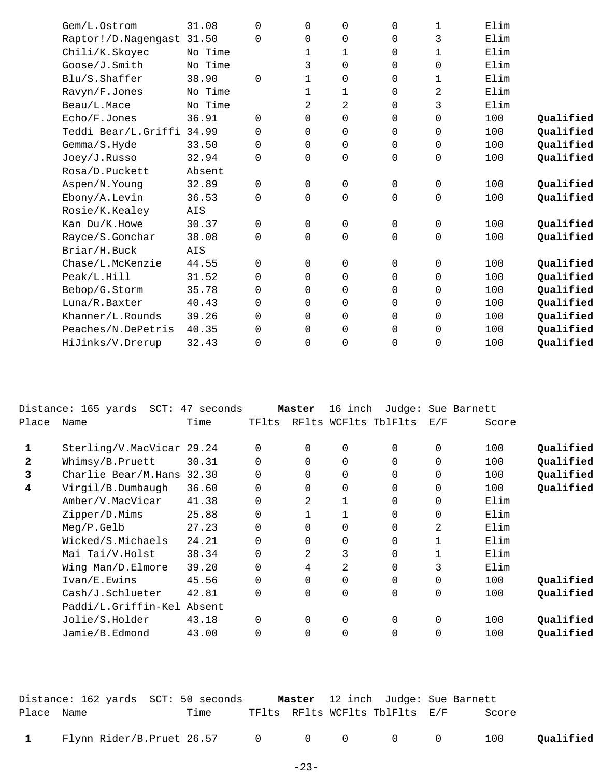| Gem/L.Ostrom              | 31.08   | $\Omega$ | $\Omega$       | 0        | $\mathbf 0$    | 1 | Elim |           |
|---------------------------|---------|----------|----------------|----------|----------------|---|------|-----------|
| Raptor!/D.Nagengast 31.50 |         | $\Omega$ | $\mathbf 0$    | 0        | 0              | 3 | Elim |           |
| Chili/K.Skoyec            | No Time |          | 1              | 1        | 0              | 1 | Elim |           |
| Goose/J.Smith             | No Time |          | 3              | 0        | 0              | 0 | Elim |           |
| Blu/S.Shaffer             | 38.90   | $\Omega$ | 1              | 0        | $\mathbf 0$    | 1 | Elim |           |
| Ravyn/F.Jones             | No Time |          | 1              | 1        | 0              | 2 | Elim |           |
| Beau/L.Mace               | No Time |          | $\overline{2}$ | 2        | $\mathbf 0$    | 3 | Elim |           |
| Echo/F.Jones              | 36.91   | $\Omega$ | $\Omega$       | 0        | 0              | 0 | 100  | Qualified |
| Teddi Bear/L.Griffi       | 34.99   | $\Omega$ | $\mathbf 0$    | 0        | $\mathbf 0$    | 0 | 100  | Qualified |
| Gemma/S.Hyde              | 33.50   | $\Omega$ | $\Omega$       | 0        | $\mathbf 0$    | 0 | 100  | Qualified |
| Joey/J.Russo              | 32.94   | $\Omega$ | $\Omega$       | 0        | $\mathbf 0$    | 0 | 100  | Qualified |
| Rosa/D.Puckett            | Absent  |          |                |          |                |   |      |           |
| Aspen/N.Young             | 32.89   | $\Omega$ | $\mathsf{O}$   | 0        | $\mathbf 0$    | 0 | 100  | Qualified |
| Ebony/A.Levin             | 36.53   | $\Omega$ | $\Omega$       | 0        | $\mathbf 0$    | 0 | 100  | Qualified |
| Rosie/K.Kealey            | AIS     |          |                |          |                |   |      |           |
| Kan Du/K.Howe             | 30.37   | $\Omega$ | $\mathsf{O}$   | 0        | $\mathbf 0$    | 0 | 100  | Qualified |
| Rayce/S.Gonchar           | 38.08   | $\Omega$ | $\Omega$       | 0        | $\mathbf 0$    | 0 | 100  | Qualified |
| Briar/H.Buck              | AIS     |          |                |          |                |   |      |           |
| Chase/L.McKenzie          | 44.55   | $\Omega$ | $\Omega$       | 0        | $\mathbf 0$    | 0 | 100  | Qualified |
| Peak/L.Hill               | 31.52   | $\Omega$ | $\Omega$       | $\Omega$ | $\Omega$       | 0 | 100  | Qualified |
| Bebop/G.Storm             | 35.78   | $\Omega$ | $\Omega$       | 0        | 0              | 0 | 100  | Qualified |
| Luna/R.Baxter             | 40.43   | $\Omega$ | $\Omega$       | 0        | 0              | 0 | 100  | Qualified |
| Khanner/L.Rounds          | 39.26   | $\Omega$ | $\Omega$       | 0        | $\Omega$       | 0 | 100  | Qualified |
| Peaches/N.DePetris        | 40.35   | $\Omega$ | $\Omega$       | 0        | $\overline{0}$ | 0 | 100  | Qualified |
| HiJinks/V.Drerup          | 32.43   | $\Omega$ | $\mathbf 0$    | 0        | $\overline{0}$ | 0 | 100  | Qualified |
|                           |         |          |                |          |                |   |      |           |

|              | Distance: 165 yards SCT: 47 seconds |       |          | Master   | 16 inch        |                      | Judge: Sue Barnett |       |           |
|--------------|-------------------------------------|-------|----------|----------|----------------|----------------------|--------------------|-------|-----------|
| Place        | Name                                | Time  | TFlts    |          |                | RFlts WCFlts TblFlts | E/F                | Score |           |
| 1            | Sterling/V.MacVicar 29.24           |       | 0        | $\Omega$ | $\Omega$       | $\Omega$             | $\Omega$           | 100   | Qualified |
| $\mathbf{2}$ | Whimsy/B.Pruett                     | 30.31 | 0        | $\Omega$ | $\mathbf 0$    | $\Omega$             | 0                  | 100   | Qualified |
| 3            | Charlie Bear/M.Hans                 | 32.30 | 0        | $\Omega$ | $\Omega$       | $\Omega$             | $\Omega$           | 100   | Qualified |
| 4            | Virgil/B.Dumbaugh                   | 36.60 | 0        | 0        | $\Omega$       | $\Omega$             | $\Omega$           | 100   | Qualified |
|              | Amber/V.MacVicar                    | 41.38 | 0        | 2        | $\mathbf{1}$   | $\Omega$             | $\Omega$           | Elim  |           |
|              | Zipper/D.Mims                       | 25.88 | 0        |          | 1              | $\Omega$             | $\Omega$           | Elim  |           |
|              | Meg/P.Gelb                          | 27.23 | 0        | $\Omega$ | $\Omega$       | $\Omega$             | 2                  | Elim  |           |
|              | Wicked/S.Michaels                   | 24.21 | 0        | $\Omega$ | $\Omega$       | $\Omega$             |                    | Elim  |           |
|              | Mai Tai/V.Holst                     | 38.34 | 0        | 2        | 3              | $\Omega$             |                    | Elim  |           |
|              | Wing Man/D.Elmore                   | 39.20 | 0        | 4        | 2              | $\Omega$             | 3                  | Elim  |           |
|              | Ivan/E.Ewins                        | 45.56 | 0        | $\Omega$ | $\Omega$       | $\Omega$             | $\Omega$           | 100   | Qualified |
|              | Cash/J.Schlueter                    | 42.81 | 0        | $\Omega$ | $\mathbf 0$    | $\Omega$             | 0                  | 100   | Qualified |
|              | Paddi/L.Griffin-Kel Absent          |       |          |          |                |                      |                    |       |           |
|              | Jolie/S.Holder                      | 43.18 | $\Omega$ | $\Omega$ | $\overline{0}$ | $\Omega$             | $\Omega$           | 100   | Qualified |
|              | Jamie/B.Edmond                      | 43.00 | 0        | $\Omega$ | $\Omega$       | $\Omega$             | 0                  | 100   | Oualified |
|              |                                     |       |          |          |                |                      |                    |       |           |

|            | Distance: 162 yards  SCT: 50 seconds    |      |  | Master 12 inch Judge: Sue Barnett |       |           |
|------------|-----------------------------------------|------|--|-----------------------------------|-------|-----------|
| Place Name |                                         | Time |  | TFlts RFlts WCFlts TblFlts E/F    | Score |           |
|            | 1 Flynn Rider/B.Pruet 26.57 0 0 0 0 0 0 |      |  |                                   | 100   | Qualified |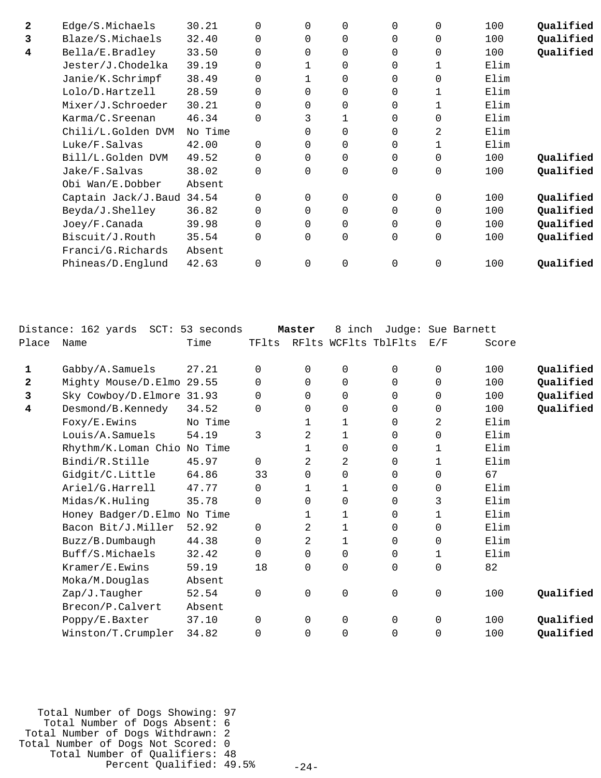| $\mathbf{2}$ | Edge/S.Michaels           | 30.21   | $\Omega$ | $\Omega$ | $\Omega$    | $\Omega$ | $\Omega$    | 100  | Qualified |
|--------------|---------------------------|---------|----------|----------|-------------|----------|-------------|------|-----------|
| 3            | Blaze/S.Michaels          | 32.40   | 0        | 0        | $\Omega$    | 0        | 0           | 100  | Qualified |
| 4            | Bella/E.Bradley           | 33.50   | $\Omega$ | $\Omega$ | 0           | $\Omega$ | $\mathbf 0$ | 100  | Qualified |
|              | Jester/J.Chodelka         | 39.19   | 0        |          | 0           | 0        | 1           | Elim |           |
|              | Janie/K.Schrimpf          | 38.49   | $\Omega$ |          | $\Omega$    | 0        | $\Omega$    | Elim |           |
|              | Lolo/D.Hartzell           | 28.59   | $\Omega$ | 0        | $\Omega$    | 0        | 1           | Elim |           |
|              | Mixer/J.Schroeder         | 30.21   | 0        | 0        | $\Omega$    | 0        |             | Elim |           |
|              | Karma/C.Sreenan           | 46.34   | $\Omega$ | 3        |             | 0        | $\mathbf 0$ | Elim |           |
|              | Chili/L.Golden DVM        | No Time |          | 0        | $\Omega$    | 0        | 2           | Elim |           |
|              | Luke/F.Salvas             | 42.00   | $\Omega$ | 0        | $\Omega$    | 0        | 1           | Elim |           |
|              | Bill/L.Golden DVM         | 49.52   |          | $\Omega$ | $\Omega$    | 0        | $\Omega$    | 100  | Qualified |
|              | Jake/F.Salvas             | 38.02   | $\Omega$ | $\Omega$ | $\Omega$    | 0        | $\Omega$    | 100  | Qualified |
|              | Obi Wan/E.Dobber          | Absent  |          |          |             |          |             |      |           |
|              | Captain Jack/J.Baud 34.54 |         |          | $\Omega$ | $\Omega$    | 0        | $\Omega$    | 100  | Qualified |
|              | Beyda/J.Shelley           | 36.82   | 0        | $\Omega$ | $\Omega$    | 0        | $\Omega$    | 100  | Qualified |
|              | Joey/F.Canada             | 39.98   | $\Omega$ | $\Omega$ | $\Omega$    | $\Omega$ | $\Omega$    | 100  | Qualified |
|              | Biscuit/J.Routh           | 35.54   | $\Omega$ | $\Omega$ | $\mathbf 0$ | $\Omega$ | $\Omega$    | 100  | Qualified |
|              | Franci/G.Richards         | Absent  |          |          |             |          |             |      |           |
|              | Phineas/D.Englund         | 42.63   | $\Omega$ | $\Omega$ | $\Omega$    | $\Omega$ | $\Omega$    | 100  | Oualified |
|              |                           |         |          |          |             |          |             |      |           |

|       | Distance: 162 yards         | SCT: 53 seconds |             | Master       | inch<br>8 | Judge:               |              | Sue Barnett |           |
|-------|-----------------------------|-----------------|-------------|--------------|-----------|----------------------|--------------|-------------|-----------|
| Place | Name                        | Time            | TFlts       |              |           | RFlts WCFlts TblFlts | E/F          | Score       |           |
| 1     | Gabby/A.Samuels             | 27.21           | $\Omega$    | $\Omega$     | 0         | 0                    | 0            | 100         | Qualified |
| 2     | Mighty Mouse/D.Elmo 29.55   |                 | 0           | 0            | 0         | 0                    | 0            | 100         | Qualified |
| 3     | Sky Cowboy/D.Elmore 31.93   |                 | 0           | $\Omega$     | 0         | 0                    | 0            | 100         | Qualified |
| 4     | Desmond/B.Kennedy           | 34.52           | $\mathbf 0$ | 0            | 0         | 0                    | 0            | 100         | Qualified |
|       | Foxy/E.Ewins                | No Time         |             |              | 1         | 0                    | 2            | Elim        |           |
|       | Louis/A.Samuels             | 54.19           | 3           | 2            | 1         | $\Omega$             | 0            | Elim        |           |
|       |                             |                 |             |              |           |                      |              |             |           |
|       | Rhythm/K.Loman Chio No Time |                 |             | 1            | 0         | $\mathbf 0$          | 1            | Elim        |           |
|       | Bindi/R.Stille              | 45.97           | $\Omega$    | 2            | 2         | $\Omega$             | $\mathbf{1}$ | Elim        |           |
|       | Gidgit/C.Little             | 64.86           | 33          | 0            | 0         | 0                    | 0            | 67          |           |
|       | Ariel/G.Harrell             | 47.77           | $\Omega$    | $\mathbf{1}$ | 1         | 0                    | 0            | Elim        |           |
|       | Midas/K.Huling              | 35.78           | $\Omega$    | 0            | 0         | 0                    | 3            | Elim        |           |
|       | Honey Badger/D.Elmo         | No Time         |             |              | 1         | $\Omega$             | $\mathbf{1}$ | Elim        |           |
|       | Bacon Bit/J.Miller          | 52.92           | $\Omega$    | 2            | 1         | 0                    | $\Omega$     | Elim        |           |
|       | Buzz/B.Dumbaugh             | 44.38           | $\Omega$    | 2            | 1         | $\Omega$             | 0            | Elim        |           |
|       | Buff/S.Michaels             | 32.42           | $\Omega$    | $\Omega$     | 0         | $\Omega$             | 1            | Elim        |           |
|       | Kramer/E.Ewins              | 59.19           | 18          | 0            | 0         | 0                    | 0            | 82          |           |
|       | Moka/M.Douglas              | Absent          |             |              |           |                      |              |             |           |
|       | Zap/J.Taugher               | 52.54           | $\mathbf 0$ | 0            | 0         | $\mathbf 0$          | $\mathbf 0$  | 100         | Qualified |
|       | Brecon/P.Calvert            | Absent          |             |              |           |                      |              |             |           |
|       | Poppy/E.Baxter              | 37.10           | $\Omega$    | 0            | 0         | $\mathbf 0$          | 0            | 100         | Qualified |
|       | Winston/T.Crumpler          | 34.82           | 0           | 0            | 0         | 0                    | 0            | 100         | Qualified |
|       |                             |                 |             |              |           |                      |              |             |           |

 Total Number of Dogs Showing: 97 Total Number of Dogs Absent: 6 Total Number of Dogs Withdrawn: 2 Total Number of Dogs Not Scored: 0 Total Number of Qualifiers: 48 Percent Qualified: 49.5%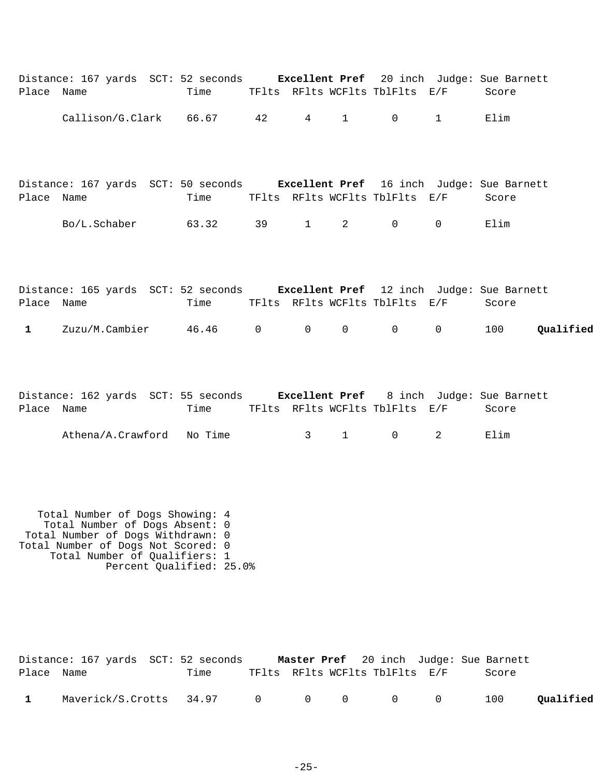| Place Name                    | Distance: 167 yards SCT: 52 seconds Excellent Pref 20 inch Judge: Sue Barnett | Time TFlts RFlts WCFlts TblFlts E/F       |  |          |                                      |                   | Score |           |
|-------------------------------|-------------------------------------------------------------------------------|-------------------------------------------|--|----------|--------------------------------------|-------------------|-------|-----------|
|                               | Callison/G.Clark 66.67 42                                                     |                                           |  |          | $4 \quad 1 \quad 0$                  | $1 \qquad \qquad$ | Elim  |           |
| Place Name                    | Distance: 167 yards SCT: 50 seconds Excellent Pref 16 inch Judge: Sue Barnett | Time TFlts RFlts WCFlts TblFlts E/F Score |  |          |                                      |                   |       |           |
|                               | Bo/L.Schaber 63.32 39 1 2 0 0                                                 |                                           |  |          |                                      |                   | Elim  |           |
| Place Name                    | Distance: 165 yards SCT: 52 seconds Excellent Pref 12 inch Judge: Sue Barnett | Time                                      |  |          | TFlts RFlts WCFlts TblFlts E/F       |                   | Score |           |
| $\mathbf{1}$ and $\mathbf{1}$ | $Zuzu/M.Cambier$ 46.46 0 0 0 0 0                                              |                                           |  |          |                                      |                   | 100   | Qualified |
| Place Name                    | Distance: 162 yards SCT: 55 seconds Excellent Pref 8 inch Judge: Sue Barnett  | Time                                      |  |          | TFlts RFlts WCFlts TblFlts E/F Score |                   |       |           |
|                               | Athena/A.Crawford No Time                                                     |                                           |  | $3 \t 1$ | $\mathsf{O}$                         | $2^{\circ}$       | Elim  |           |
|                               |                                                                               |                                           |  |          |                                      |                   |       |           |

 Total Number of Dogs Showing: 4 Total Number of Dogs Absent: 0 Total Number of Dogs Withdrawn: 0 Total Number of Dogs Not Scored: 0 Total Number of Qualifiers: 1 Percent Qualified: 25.0%

|              | Distance: 167 yards SCT: 52 seconds |      |  |                                |  | Master Pref 20 inch Judge: Sue Barnett |           |
|--------------|-------------------------------------|------|--|--------------------------------|--|----------------------------------------|-----------|
| Place Name   |                                     | Time |  | TFlts RFlts WCFlts TblFlts E/F |  | Score                                  |           |
| $\mathbf{1}$ | Maverick/S.Crotts 34.97 0 0 0 0 0 0 |      |  |                                |  | 100                                    | Qualified |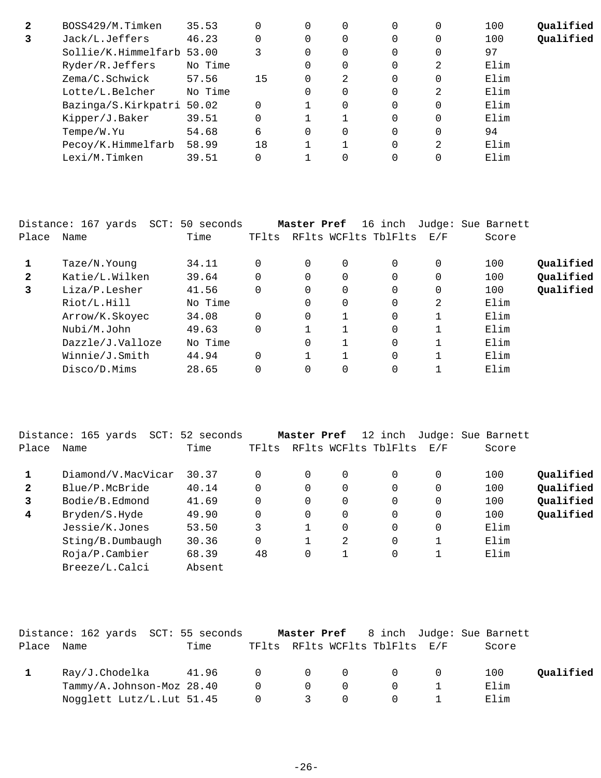| 2 | BOSS429/M.Timken          | 35.53   | 0  | 0        | $\Omega$ |   | 100  | Qualified |
|---|---------------------------|---------|----|----------|----------|---|------|-----------|
|   | Jack/L.Jeffers            | 46.23   | 0  | 0        | $\Omega$ |   | 100  | Qualified |
|   | Sollie/K.Himmelfarb 53.00 |         |    | $\Omega$ | $\Omega$ |   | 97   |           |
|   | Ryder/R.Jeffers           | No Time |    | $\Omega$ | $\Omega$ | 2 | Elim |           |
|   | Zema/C.Schwick            | 57.56   | 15 | 2        | $\Omega$ |   | Elim |           |
|   | Lotte/L.Belcher           | No Time |    | $\Omega$ | $\Omega$ | 2 | Elim |           |
|   | Bazinga/S.Kirkpatri 50.02 |         | 0  | $\Omega$ | $\Omega$ |   | Elim |           |
|   | Kipper/J.Baker            | 39.51   | 0  |          | $\Omega$ |   | Elim |           |
|   | Tempe/W.Yu                | 54.68   | 6  | $\Omega$ | $\Omega$ |   | 94   |           |
|   | Pecoy/K.Himmelfarb        | 58.99   | 18 |          | $\Omega$ | 2 | Elim |           |
|   | Lexi/M.Timken             | 39.51   |    |          |          |   | Elim |           |

|              | Distance: 167 yards | SCT: 50 seconds |          | Master Pref |                | 16 inch              |     | Judge: Sue Barnett |           |
|--------------|---------------------|-----------------|----------|-------------|----------------|----------------------|-----|--------------------|-----------|
| Place        | Name                | Time            | TFlts    |             |                | RFlts WCFlts TblFlts | E/F | Score              |           |
|              | Taze/N.Young        | 34.11           |          | 0           | 0              | $\Omega$             | 0   | 100                | Qualified |
| $\mathbf{2}$ | Katie/L.Wilken      | 39.64           |          | 0           | 0              | 0                    | 0   | 100                | Qualified |
| 3            | Liza/P.Lesher       | 41.56           | $\Omega$ | 0           | 0              | 0                    | 0   | 100                | Qualified |
|              | Riot/L.Hill         | No Time         |          | 0           | $\overline{0}$ | $\Omega$             | 2   | Elim               |           |
|              | Arrow/K.Skoyec      | 34.08           | $\Omega$ | 0           |                | $\Omega$             |     | Elim               |           |
|              | Nubi/M.John         | 49.63           | $\Omega$ |             |                | $\Omega$             |     | Elim               |           |
|              | Dazzle/J.Valloze    | No Time         |          | 0           |                | $\Omega$             |     | Elim               |           |
|              | Winnie/J.Smith      | 44.94           | $\Omega$ |             |                | $\Omega$             | 1   | Elim               |           |
|              | Disco/D.Mims        | 28.65           | $\Omega$ |             | 0              | $\Omega$             |     | Elim               |           |
|              |                     |                 |          |             |                |                      |     |                    |           |

|              | Distance: 165 yards<br>$SCT$ : | 52 seconds |       | Master Pref |   | 12 inch              |          | Judge: Sue Barnett |           |
|--------------|--------------------------------|------------|-------|-------------|---|----------------------|----------|--------------------|-----------|
| Place        | Name                           | Time       | TFlts |             |   | RFlts WCFlts TblFlts | E/F      | Score              |           |
|              | Diamond/V.MacVicar             | 30.37      |       | $\Omega$    | 0 | $\Omega$             | 0        | 100                | Qualified |
| $\mathbf{2}$ | Blue/P.McBride                 | 40.14      |       | $\Omega$    | 0 | $\Omega$             | 0        | 100                | Qualified |
| 3            | Bodie/B.Edmond                 | 41.69      |       | $\Omega$    | 0 | $\Omega$             | $\Omega$ | 100                | Qualified |
| 4            | Bryden/S.Hyde                  | 49.90      |       | $\Omega$    | 0 | $\Omega$             | 0        | 100                | Qualified |
|              | Jessie/K.Jones                 | 53.50      | 3     |             | 0 | $\Omega$             | 0        | Elim               |           |
|              | Sting/B.Dumbaugh               | 30.36      |       |             | 2 | 0                    |          | Elim               |           |
|              | $Ro$ ja/P.Cambier              | 68.39      | 48    | $\Omega$    |   | 0                    |          | Elim               |           |
|              | Breeze/L.Calci                 | Absent     |       |             |   |                      |          |                    |           |

|       | Distance: 162 yards SCT: 55 seconds |      |                                     |                         |          |                                | <b>Master Pref</b> 8 inch Judge: Sue Barnett |           |
|-------|-------------------------------------|------|-------------------------------------|-------------------------|----------|--------------------------------|----------------------------------------------|-----------|
| Place | Name                                | Time |                                     |                         |          | TFlts RFlts WCFlts TblFlts E/F | Score                                        |           |
|       | Ray/J.Chodelka 41.96 0 0 0 0 0      |      |                                     |                         |          |                                | 100                                          | Qualified |
|       | Tammy/A.Johnson-Moz 28.40           |      | $\begin{matrix} 0 & 0 \end{matrix}$ |                         | $\Omega$ | $\Omega$                       | Elim                                         |           |
|       | Nogglett Lutz/L. Lut 51.45          |      | $\overline{0}$                      | $\overline{\mathbf{3}}$ | $\Omega$ | $\overline{0}$                 | Elim                                         |           |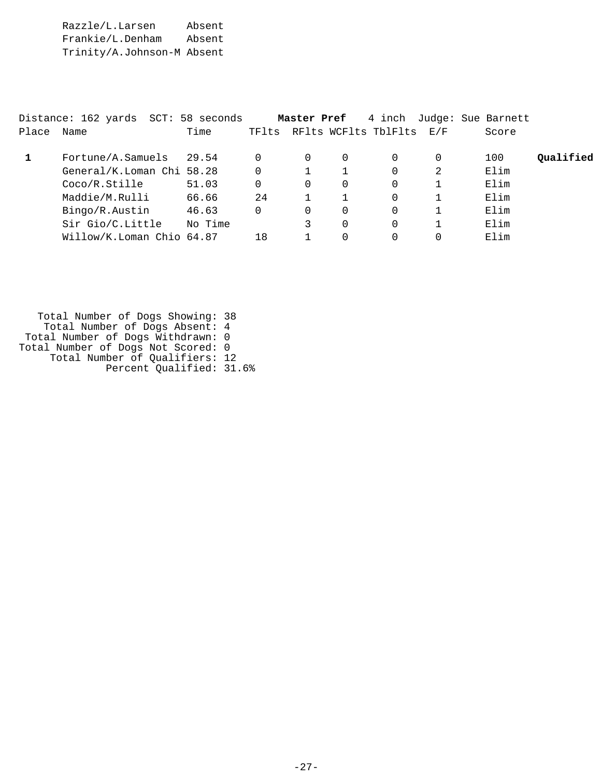Razzle/L.Larsen Absent Frankie/L.Denham Absent Trinity/A.Johnson-M Absent

|       | Distance: 162 yards SCT: 58 seconds |         |          | Master Pref |          | 4 inch               |     | Judge: Sue Barnett |           |
|-------|-------------------------------------|---------|----------|-------------|----------|----------------------|-----|--------------------|-----------|
| Place | Name                                | Time    | TFlts    |             |          | RFlts WCFlts TblFlts | E/F | Score              |           |
|       | Fortune/A.Samuels                   | 29.54   | 0        | 0           | $\Omega$ | $\Omega$             | 0   | 100                | Oualified |
|       | General/K.Loman Chi 58.28           |         | $\Omega$ |             |          | $\Omega$             | 2   | Elim               |           |
|       | Coco/R.Stille                       | 51.03   | 0        | 0           | 0        | $\Omega$             |     | Elim               |           |
|       | Maddie/M.Rulli                      | 66.66   | 24       |             |          | $\Omega$             |     | Elim               |           |
|       | Bingo/R.Austin                      | 46.63   | 0        | 0           | $\Omega$ | $\Omega$             |     | Elim               |           |
|       | Sir Gio/C.Little                    | No Time |          | 3           | $\Omega$ | $\Omega$             |     | Elim               |           |
|       | Willow/K.Loman Chio 64.87           |         | 18       |             | $\Omega$ | $\Omega$             |     | Elim               |           |

 Total Number of Dogs Showing: 38 Total Number of Dogs Absent: 4 Total Number of Dogs Withdrawn: 0 Total Number of Dogs Not Scored: 0 Total Number of Qualifiers: 12 Percent Qualified: 31.6%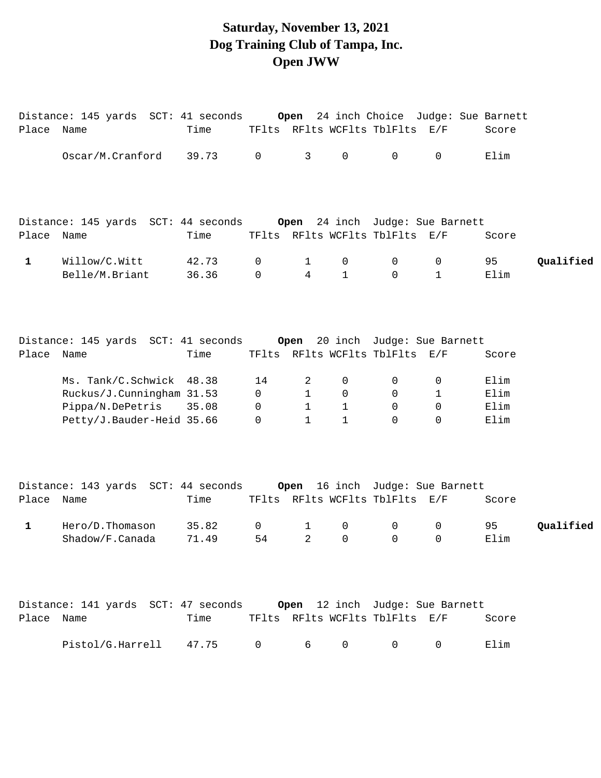#### **Saturday, November 13, 2021 Dog Training Club of Tampa, Inc. Open JWW**

| Place Name   |                                                                     | Time           |                                |                              |                     | TFlts RFlts WCFlts TblFlts E/F |                  | Score        |           |
|--------------|---------------------------------------------------------------------|----------------|--------------------------------|------------------------------|---------------------|--------------------------------|------------------|--------------|-----------|
|              | Oscar/M.Cranford                                                    | 39.73          | $\overline{0}$                 | 3                            | $\mathsf{O}\xspace$ | $\mathsf{O}$                   | $\mathbf 0$      | Elim         |           |
|              |                                                                     |                |                                |                              |                     |                                |                  |              |           |
| Place Name   |                                                                     | Time           |                                |                              |                     | TFlts RFlts WCFlts TblFlts E/F |                  | Score        |           |
| $\mathbf{1}$ | Willow/C.Witt<br>Belle/M.Briant                                     | 42.73<br>36.36 | 0<br>$\mathsf{O}$              | 1<br>4                       | 0<br>$\mathbf{1}$   | $\mathbf 0$<br>$\Omega$        | 0<br>$\mathbf 1$ | 95<br>Elim   | Qualified |
|              |                                                                     |                |                                |                              |                     |                                |                  |              |           |
| Place Name   | Distance: 145 yards SCT: 41 seconds 0pen 20 inch Judge: Sue Barnett | Time           |                                |                              |                     | TFlts RFlts WCFlts TblFlts E/F |                  | Score        |           |
|              | Ms. Tank/C.Schwick 48.38                                            |                | 14                             | 2                            | 0                   | 0                              | 0                | Elim         |           |
|              | Ruckus/J.Cunningham 31.53<br>Pippa/N.DePetris                       | 35.08          | $\mathsf{O}$<br>$\overline{0}$ | $\mathbf{1}$<br>$\mathbf{1}$ | 0<br>$\mathbf{1}$   | 0<br>0                         | 1<br>0           | Elim<br>Elim |           |
|              | Petty/J.Bauder-Heid 35.66                                           |                | $\mathbf 0$                    | $\mathbf{1}$                 | $\mathbf{1}$        | $\Omega$                       | $\Omega$         | Elim         |           |
|              |                                                                     |                |                                |                              |                     |                                |                  |              |           |
| Place Name   |                                                                     | Time           |                                |                              |                     | TFlts RFlts WCFlts TblFlts E/F |                  | Score        |           |
| $\mathbf{1}$ | Hero/D.Thomason                                                     | 35.82          | $\mathsf{O}$                   | $\mathbf{1}$                 | 0                   | 0                              | 0                | 95           | Qualified |
|              | Shadow/F.Canada                                                     | 71.49          | 54                             | $\overline{2}$               | 0                   | $\overline{0}$                 | $\overline{0}$   | Elim         |           |
|              |                                                                     |                |                                |                              |                     |                                |                  |              |           |
| Place Name   |                                                                     | Time           |                                |                              |                     | TFlts RFlts WCFlts TblFlts E/F |                  | Score        |           |
|              | Pistol/G.Harrell                                                    | 47.75          | 0                              | 6                            | 0                   | $\overline{0}$                 | 0                | Elim         |           |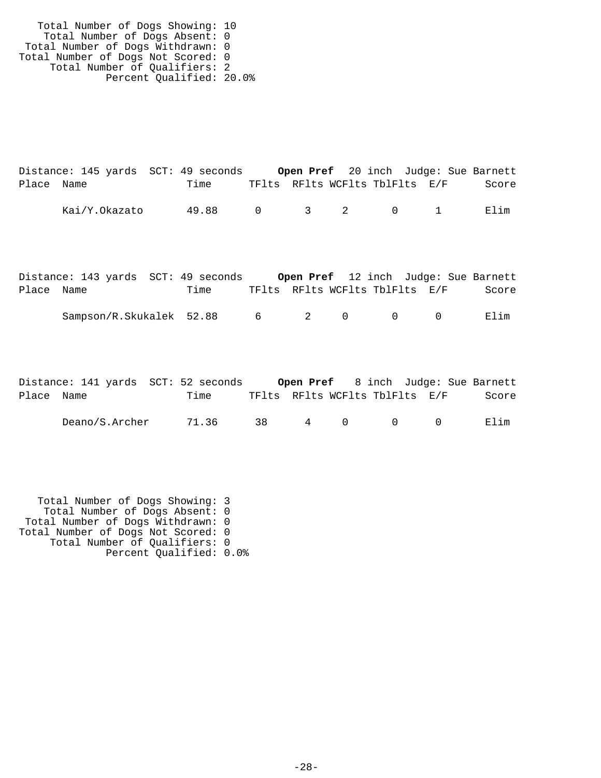Total Number of Dogs Showing: 10 Total Number of Dogs Absent: 0 Total Number of Dogs Withdrawn: 0 Total Number of Dogs Not Scored: 0 Total Number of Qualifiers: 2 Percent Qualified: 20.0%

|            | Distance: 145 yards SCT: 49 seconds |       |                                |  |                                         | <b>Open Pref</b> 20 inch Judge: Sue Barnett |
|------------|-------------------------------------|-------|--------------------------------|--|-----------------------------------------|---------------------------------------------|
| Place Name |                                     | Time  | TFlts RFlts WCFlts TblFlts E/F |  |                                         | Score                                       |
|            | Kai/Y.Okazato                       | 49.88 |                                |  | $0 \qquad 3 \qquad 2 \qquad 0 \qquad 1$ | Elim                                        |

|            | Distance: 143 yards  SCT: 49 seconds |      |                                |            |        |        | Open Pref 12 inch Judge: Sue Barnett |
|------------|--------------------------------------|------|--------------------------------|------------|--------|--------|--------------------------------------|
| Place Name |                                      | Time | TFlts RFlts WCFlts TblFlts E/F |            |        |        | Score                                |
|            | Sampson/R.Skukalek 52.88             |      | $6\overline{6}$                | $\sim$ 2 0 | $\cap$ | $\cap$ | Flim                                 |

|            | Distance: 141 yards SCT: 52 seconds |      |  |  |                                | <b>Open Pref</b> 8 inch Judge: Sue Barnett |
|------------|-------------------------------------|------|--|--|--------------------------------|--------------------------------------------|
| Place Name |                                     | Time |  |  | TFlts RFlts WCFlts TblFlts E/F | Score                                      |
|            | Deano/S.Archer 71.36                |      |  |  | 38 4 0 0 0                     | Elim                                       |

 Total Number of Dogs Showing: 3 Total Number of Dogs Absent: 0 Total Number of Dogs Withdrawn: 0 Total Number of Dogs Not Scored: 0 Total Number of Qualifiers: 0 Percent Qualified: 0.0%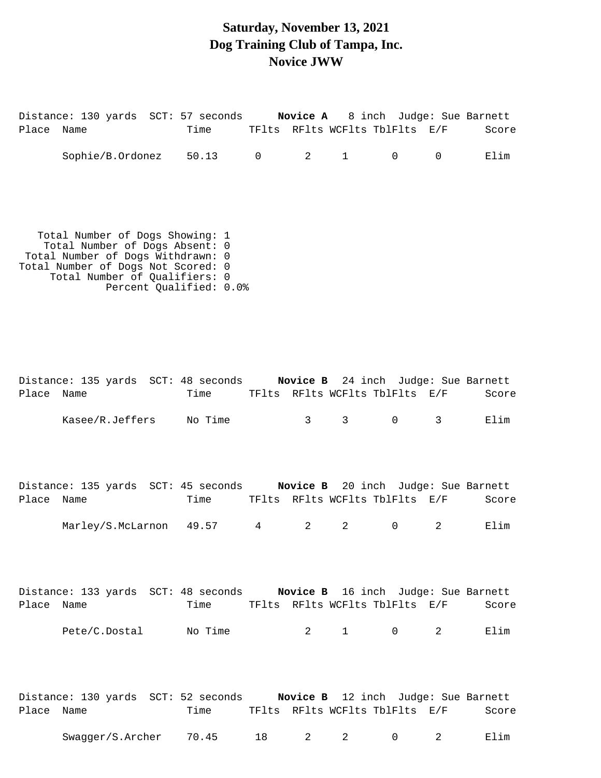#### **Saturday, November 13, 2021 Dog Training Club of Tampa, Inc. Novice JWW**

| Place Name | Distance: 130 yards SCT: 57 seconds Novice A 8 inch Judge: Sue Barnett                                                                                                                                   | Time TFIts RFIts WCFIts TblFlts E/F |                 |              |                                |                |                | Score |
|------------|----------------------------------------------------------------------------------------------------------------------------------------------------------------------------------------------------------|-------------------------------------|-----------------|--------------|--------------------------------|----------------|----------------|-------|
|            | Sophie/B.Ordonez 50.13 0                                                                                                                                                                                 |                                     |                 | 2            | $\mathbf{1}$                   | $\mathsf{O}$   | $\overline{0}$ | Elim  |
|            | Total Number of Dogs Showing: 1<br>Total Number of Dogs Absent: 0<br>Total Number of Dogs Withdrawn: 0<br>Total Number of Dogs Not Scored: 0<br>Total Number of Qualifiers: 0<br>Percent Qualified: 0.0% |                                     |                 |              |                                |                |                |       |
| Place Name | Distance: 135 yards SCT: 48 seconds Novice B 24 inch Judge: Sue Barnett                                                                                                                                  | Time                                |                 |              | TFlts RFlts WCFlts TblFlts E/F |                |                | Score |
|            | Kasee/R.Jeffers No Time                                                                                                                                                                                  |                                     |                 | $\mathbf{3}$ | $\mathsf{3}$                   | $\overline{0}$ | $\mathsf{3}$   | Elim  |
| Place Name | Distance: 135 yards SCT: 45 seconds Novice B 20 inch Judge: Sue Barnett                                                                                                                                  | Time                                |                 |              | TFlts RFlts WCFlts TblFlts E/F |                |                | Score |
|            | Marley/S.McLarnon 49.57                                                                                                                                                                                  |                                     | $4\overline{ }$ | 2            | 2                              | 0              | 2              | Elim  |
| Place      | Distance: 133 yards SCT: 48 seconds Novice B 16 inch Judge: Sue Barnett<br>Name                                                                                                                          | Time TFlts RFlts WCFlts TblFlts E/F |                 |              |                                |                |                | Score |
|            | Pete/C.Dostal No Time                                                                                                                                                                                    |                                     |                 | 2            | $1 \qquad \qquad 0$            |                | 2              | Elim  |

Distance: 130 yards SCT: 52 seconds **Novice B** 12 inch Judge: Sue Barnett Place Name Time TFlts RFlts WCFlts TblFlts E/F Score Swagger/S.Archer 70.45 18 2 2 0 2 Elim